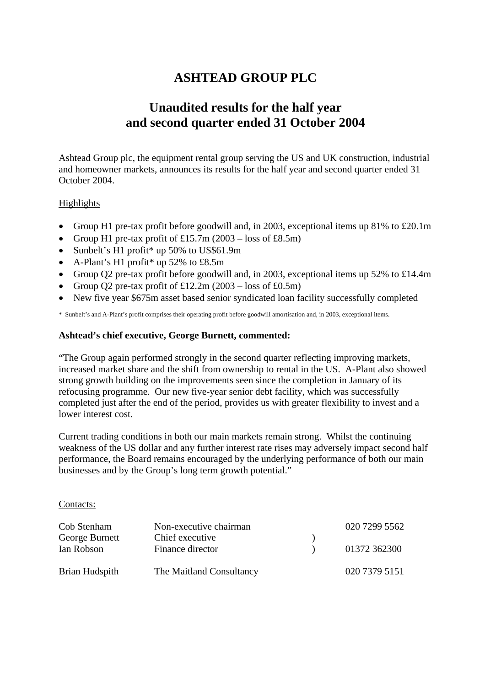# **ASHTEAD GROUP PLC**

# **Unaudited results for the half year and second quarter ended 31 October 2004**

Ashtead Group plc, the equipment rental group serving the US and UK construction, industrial and homeowner markets, announces its results for the half year and second quarter ended 31 October 2004.

## Highlights

- Group H1 pre-tax profit before goodwill and, in 2003, exceptional items up 81% to £20.1m
- Group H1 pre-tax profit of £15.7m  $(2003 \text{loss of } \text{\textsterling}8.5\text{m})$
- Sunbelt's H1 profit\* up 50% to US\$61.9m
- A-Plant's H1 profit\* up  $52\%$  to £8.5m
- Group Q2 pre-tax profit before goodwill and, in 2003, exceptional items up 52% to £14.4m
- Group Q2 pre-tax profit of  $£12.2m (2003 loss of £0.5m)$
- New five year \$675m asset based senior syndicated loan facility successfully completed

\* Sunbelt's and A-Plant's profit comprises their operating profit before goodwill amortisation and, in 2003, exceptional items.

## **Ashtead's chief executive, George Burnett, commented:**

"The Group again performed strongly in the second quarter reflecting improving markets, increased market share and the shift from ownership to rental in the US. A-Plant also showed strong growth building on the improvements seen since the completion in January of its refocusing programme. Our new five-year senior debt facility, which was successfully completed just after the end of the period, provides us with greater flexibility to invest and a lower interest cost.

Current trading conditions in both our main markets remain strong. Whilst the continuing weakness of the US dollar and any further interest rate rises may adversely impact second half performance, the Board remains encouraged by the underlying performance of both our main businesses and by the Group's long term growth potential."

Contacts:

| Cob Stenham    | Non-executive chairman   | 020 7299 5562 |
|----------------|--------------------------|---------------|
| George Burnett | Chief executive          |               |
| Ian Robson     | Finance director         | 01372 362300  |
| Brian Hudspith | The Maitland Consultancy | 020 7379 5151 |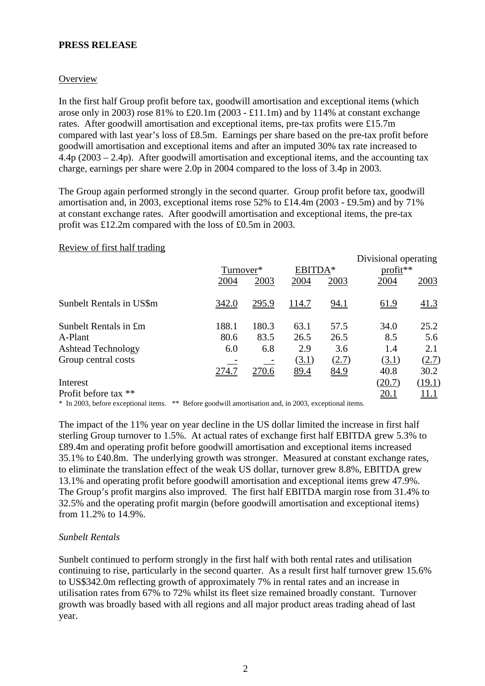## **PRESS RELEASE**

### **Overview**

In the first half Group profit before tax, goodwill amortisation and exceptional items (which arose only in 2003) rose 81% to £20.1m (2003 - £11.1m) and by 114% at constant exchange rates. After goodwill amortisation and exceptional items, pre-tax profits were £15.7m compared with last year's loss of £8.5m. Earnings per share based on the pre-tax profit before goodwill amortisation and exceptional items and after an imputed 30% tax rate increased to  $4.4p(2003 – 2.4p)$ . After goodwill amortisation and exceptional items, and the accounting tax charge, earnings per share were 2.0p in 2004 compared to the loss of 3.4p in 2003.

The Group again performed strongly in the second quarter. Group profit before tax, goodwill amortisation and, in 2003, exceptional items rose 52% to £14.4m (2003 - £9.5m) and by 71% at constant exchange rates. After goodwill amortisation and exceptional items, the pre-tax profit was £12.2m compared with the loss of £0.5m in 2003.

#### Review of first half trading

|                           |           |       |              |       | Divisional operating |              |
|---------------------------|-----------|-------|--------------|-------|----------------------|--------------|
|                           | Turnover* |       | EBITDA*      |       | $profit**$           |              |
|                           | 2004      | 2003  | 2004         | 2003  | 2004                 | 2003         |
| Sunbelt Rentals in US\$m  | 342.0     | 295.9 | <u>114.7</u> | 94.1  | 61.9                 | 41.3         |
| Sunbelt Rentals in £m     | 188.1     | 180.3 | 63.1         | 57.5  | 34.0                 | 25.2         |
| A-Plant                   | 80.6      | 83.5  | 26.5         | 26.5  | 8.5                  | 5.6          |
| <b>Ashtead Technology</b> | 6.0       | 6.8   | 2.9          | 3.6   | 1.4                  | 2.1          |
| Group central costs       |           |       | (3.1)        | (2.7) | (3.1)                | (2.7)        |
|                           | 274.7     | 270.6 | 89.4         | 84.9  | 40.8                 | 30.2         |
| Interest                  |           |       |              |       | (20.7)               | (19.1)       |
| Profit before tax **      |           |       |              |       | 20.1                 | <u> 11.1</u> |
|                           |           |       |              |       |                      |              |

\* In 2003, before exceptional items. \*\* Before goodwill amortisation and, in 2003, exceptional items.

The impact of the 11% year on year decline in the US dollar limited the increase in first half sterling Group turnover to 1.5%. At actual rates of exchange first half EBITDA grew 5.3% to £89.4m and operating profit before goodwill amortisation and exceptional items increased 35.1% to £40.8m. The underlying growth was stronger. Measured at constant exchange rates, to eliminate the translation effect of the weak US dollar, turnover grew 8.8%, EBITDA grew 13.1% and operating profit before goodwill amortisation and exceptional items grew 47.9%. The Group's profit margins also improved. The first half EBITDA margin rose from 31.4% to 32.5% and the operating profit margin (before goodwill amortisation and exceptional items) from 11.2% to 14.9%.

#### *Sunbelt Rentals*

Sunbelt continued to perform strongly in the first half with both rental rates and utilisation continuing to rise, particularly in the second quarter. As a result first half turnover grew 15.6% to US\$342.0m reflecting growth of approximately 7% in rental rates and an increase in utilisation rates from 67% to 72% whilst its fleet size remained broadly constant. Turnover growth was broadly based with all regions and all major product areas trading ahead of last year.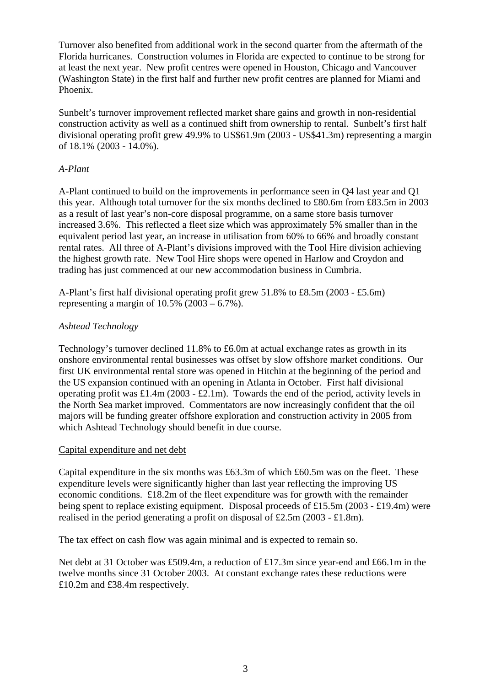Turnover also benefited from additional work in the second quarter from the aftermath of the Florida hurricanes. Construction volumes in Florida are expected to continue to be strong for at least the next year. New profit centres were opened in Houston, Chicago and Vancouver (Washington State) in the first half and further new profit centres are planned for Miami and Phoenix.

Sunbelt's turnover improvement reflected market share gains and growth in non-residential construction activity as well as a continued shift from ownership to rental. Sunbelt's first half divisional operating profit grew 49.9% to US\$61.9m (2003 - US\$41.3m) representing a margin of 18.1% (2003 - 14.0%).

## *A-Plant*

A-Plant continued to build on the improvements in performance seen in Q4 last year and Q1 this year. Although total turnover for the six months declined to £80.6m from £83.5m in 2003 as a result of last year's non-core disposal programme, on a same store basis turnover increased 3.6%. This reflected a fleet size which was approximately 5% smaller than in the equivalent period last year, an increase in utilisation from 60% to 66% and broadly constant rental rates. All three of A-Plant's divisions improved with the Tool Hire division achieving the highest growth rate. New Tool Hire shops were opened in Harlow and Croydon and trading has just commenced at our new accommodation business in Cumbria.

A-Plant's first half divisional operating profit grew 51.8% to £8.5m (2003 - £5.6m) representing a margin of  $10.5\%$  (2003 – 6.7%).

## *Ashtead Technology*

Technology's turnover declined 11.8% to £6.0m at actual exchange rates as growth in its onshore environmental rental businesses was offset by slow offshore market conditions. Our first UK environmental rental store was opened in Hitchin at the beginning of the period and the US expansion continued with an opening in Atlanta in October. First half divisional operating profit was £1.4m (2003 - £2.1m). Towards the end of the period, activity levels in the North Sea market improved. Commentators are now increasingly confident that the oil majors will be funding greater offshore exploration and construction activity in 2005 from which Ashtead Technology should benefit in due course.

#### Capital expenditure and net debt

Capital expenditure in the six months was £63.3m of which £60.5m was on the fleet. These expenditure levels were significantly higher than last year reflecting the improving US economic conditions. £18.2m of the fleet expenditure was for growth with the remainder being spent to replace existing equipment. Disposal proceeds of £15.5m (2003 - £19.4m) were realised in the period generating a profit on disposal of £2.5m (2003 - £1.8m).

The tax effect on cash flow was again minimal and is expected to remain so.

Net debt at 31 October was £509.4m, a reduction of £17.3m since year-end and £66.1m in the twelve months since 31 October 2003. At constant exchange rates these reductions were £10.2m and £38.4m respectively.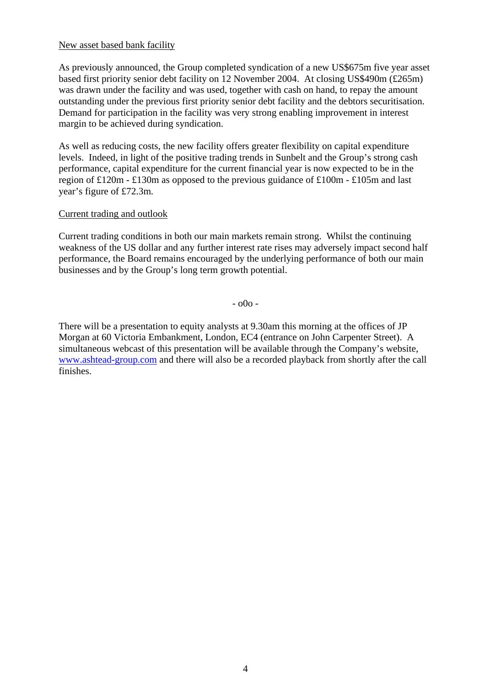#### New asset based bank facility

As previously announced, the Group completed syndication of a new US\$675m five year asset based first priority senior debt facility on 12 November 2004. At closing US\$490m (£265m) was drawn under the facility and was used, together with cash on hand, to repay the amount outstanding under the previous first priority senior debt facility and the debtors securitisation. Demand for participation in the facility was very strong enabling improvement in interest margin to be achieved during syndication.

As well as reducing costs, the new facility offers greater flexibility on capital expenditure levels. Indeed, in light of the positive trading trends in Sunbelt and the Group's strong cash performance, capital expenditure for the current financial year is now expected to be in the region of £120m - £130m as opposed to the previous guidance of £100m - £105m and last year's figure of £72.3m.

## Current trading and outlook

Current trading conditions in both our main markets remain strong. Whilst the continuing weakness of the US dollar and any further interest rate rises may adversely impact second half performance, the Board remains encouraged by the underlying performance of both our main businesses and by the Group's long term growth potential.

- o0o -

There will be a presentation to equity analysts at 9.30am this morning at the offices of JP Morgan at 60 Victoria Embankment, London, EC4 (entrance on John Carpenter Street). A simultaneous webcast of this presentation will be available through the Company's website, [www.ashtead-group.com](http://www.ashtead-group.com/) and there will also be a recorded playback from shortly after the call finishes.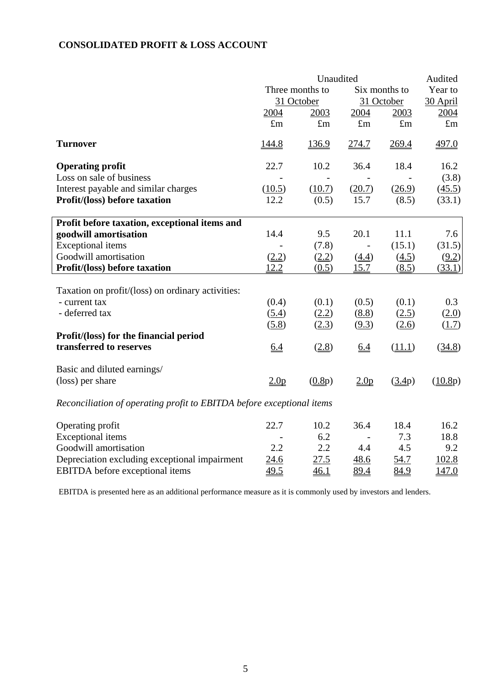## **CONSOLIDATED PROFIT & LOSS ACCOUNT**

|                                                                       | Unaudited                        |             |                  |             | Audited     |
|-----------------------------------------------------------------------|----------------------------------|-------------|------------------|-------------|-------------|
|                                                                       | Three months to<br>Six months to |             |                  |             | Year to     |
|                                                                       |                                  | 31 October  | 31 October       |             | 30 April    |
|                                                                       | 2004                             | 2003        | 2004             | 2003        | 2004        |
|                                                                       | $\pounds$ m                      | $\pounds$ m | $\pounds$ m      | $\pounds$ m | $\pounds$ m |
| <b>Turnover</b>                                                       | <u>144.8</u>                     | 136.9       | 274.7            | 269.4       | 497.0       |
| <b>Operating profit</b>                                               | 22.7                             | 10.2        | 36.4             | 18.4        | 16.2        |
| Loss on sale of business                                              |                                  |             |                  |             | (3.8)       |
| Interest payable and similar charges                                  | (10.5)                           | (10.7)      | (20.7)           | (26.9)      | (45.5)      |
| Profit/(loss) before taxation                                         | 12.2                             | (0.5)       | 15.7             | (8.5)       | (33.1)      |
| Profit before taxation, exceptional items and                         |                                  |             |                  |             |             |
| goodwill amortisation                                                 | 14.4                             | 9.5         | 20.1             | 11.1        | 7.6         |
| <b>Exceptional</b> items                                              |                                  | (7.8)       |                  | (15.1)      | (31.5)      |
| Goodwill amortisation                                                 | (2.2)                            | (2.2)       | (4.4)            | (4.5)       | (9.2)       |
| Profit/(loss) before taxation                                         | 12.2                             | (0.5)       | 15.7             | (8.5)       | (33.1)      |
| Taxation on profit/(loss) on ordinary activities:                     |                                  |             |                  |             |             |
| - current tax                                                         | (0.4)                            | (0.1)       | (0.5)            | (0.1)       | 0.3         |
| - deferred tax                                                        | (5.4)                            | (2.2)       | (8.8)            | (2.5)       | (2.0)       |
|                                                                       | (5.8)                            | (2.3)       | (9.3)            | (2.6)       | (1.7)       |
| Profit/(loss) for the financial period                                |                                  |             |                  |             |             |
| transferred to reserves                                               | 6.4                              | (2.8)       | 6.4              | (11.1)      | (34.8)      |
| Basic and diluted earnings/                                           |                                  |             |                  |             |             |
| (loss) per share                                                      | 2.0 <sub>p</sub>                 | (0.8p)      | 2.0 <sub>p</sub> | (3.4p)      | (10.8p)     |
| Reconciliation of operating profit to EBITDA before exceptional items |                                  |             |                  |             |             |
| Operating profit                                                      | 22.7                             | 10.2        | 36.4             | 18.4        | 16.2        |
| <b>Exceptional</b> items                                              |                                  | 6.2         |                  | 7.3         | 18.8        |
| Goodwill amortisation                                                 | 2.2                              | 2.2         | 4.4              | 4.5         | 9.2         |
| Depreciation excluding exceptional impairment                         | 24.6                             | 27.5        | 48.6             | 54.7        | 102.8       |
| <b>EBITDA</b> before exceptional items                                | 49.5                             | 46.1        | 89.4             | 84.9        | 147.0       |

EBITDA is presented here as an additional performance measure as it is commonly used by investors and lenders.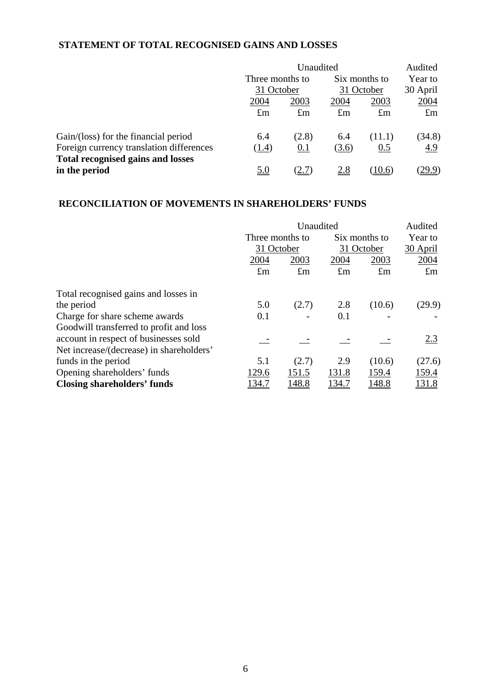## **STATEMENT OF TOTAL RECOGNISED GAINS AND LOSSES**

|                                          | Unaudited       |             |                             |             | Audited             |  |
|------------------------------------------|-----------------|-------------|-----------------------------|-------------|---------------------|--|
|                                          | Three months to |             | Six months to<br>31 October |             | Year to<br>30 April |  |
|                                          | 31 October      |             |                             |             |                     |  |
|                                          | 2004            | 2003        | 2004                        | 2003        | 2004                |  |
|                                          | $\pounds$ m     | $\pounds$ m | $\pounds$ m                 | $\pounds$ m | $\pounds$ m         |  |
| Gain/(loss) for the financial period     | 6.4             | (2.8)       | 6.4                         | (11.1)      | (34.8)              |  |
| Foreign currency translation differences | (1.4)           | 0.1         | (3.6)                       | 0.5         | 4.9                 |  |
| <b>Total recognised gains and losses</b> |                 |             |                             |             |                     |  |
| in the period                            | <u>5.0</u>      |             | <u>2.8</u>                  | (10.6)      | <u>29.9)</u>        |  |

## **RECONCILIATION OF MOVEMENTS IN SHAREHOLDERS' FUNDS**

|                                          | Unaudited       |              |             |               | Audited       |
|------------------------------------------|-----------------|--------------|-------------|---------------|---------------|
|                                          | Three months to |              |             | Six months to | Year to       |
|                                          | 31 October      |              | 31 October  |               | 30 April      |
|                                          | 2004            | 2003         | 2004        | 2003          | 2004          |
|                                          | $\pounds$ m     | $\pounds$ m  | $\pounds$ m | $\pounds$ m   | $\pounds$ m   |
| Total recognised gains and losses in     |                 |              |             |               |               |
| the period                               | 5.0             | (2.7)        | 2.8         | (10.6)        | (29.9)        |
| Charge for share scheme awards           | 0.1             |              | 0.1         |               |               |
| Goodwill transferred to profit and loss  |                 |              |             |               |               |
| account in respect of businesses sold    |                 |              |             |               | 2.3           |
| Net increase/(decrease) in shareholders' |                 |              |             |               |               |
| funds in the period                      | 5.1             | (2.7)        | 2.9         | (10.6)        | (27.6)        |
| Opening shareholders' funds              | 129.6           | 151.5        | 131.8       | 159.4         | 159.4         |
| <b>Closing shareholders' funds</b>       | 134.7           | <u>148.8</u> | 134.7       | 148.8         | <u> 131.8</u> |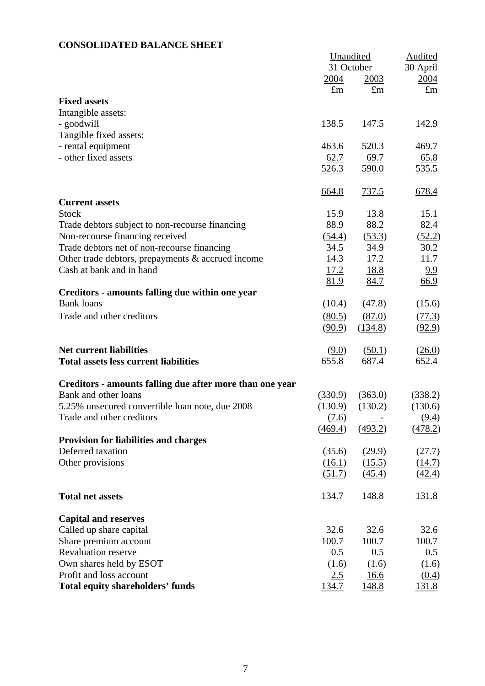## **CONSOLIDATED BALANCE SHEET**

| 31 October<br>30 April<br>2004<br>2004<br>2003<br>$\pounds$ m<br>$\pounds$ m<br>$\pounds$ m<br><b>Fixed assets</b><br>Intangible assets:<br>138.5<br>142.9<br>- goodwill<br>147.5<br>Tangible fixed assets:<br>- rental equipment<br>463.6<br>520.3<br>469.7<br>- other fixed assets<br>62.7<br>69.7<br>65.8<br><u>535.5</u><br><u>526.3</u><br><u>590.0</u><br>737.5<br>678.4<br>664.8<br><b>Current assets</b><br><b>Stock</b><br>15.9<br>13.8<br>15.1<br>88.9<br>88.2<br>82.4<br>Trade debtors subject to non-recourse financing<br>Non-recourse financing received<br>(53.3)<br>(52.2)<br>(54.4)<br>34.5<br>34.9<br>Trade debtors net of non-recourse financing<br>30.2<br>14.3<br>17.2<br>11.7<br>Other trade debtors, prepayments & accrued income<br>Cash at bank and in hand<br>17.2<br>18.8<br>9.9<br>66.9<br>81.9<br>84.7<br>Creditors - amounts falling due within one year<br><b>Bank loans</b><br>(10.4)<br>(47.8)<br>(15.6)<br>Trade and other creditors<br>(80.5)<br>(77.3)<br>(87.0)<br>(90.9)<br>(134.8)<br>(92.9)<br><b>Net current liabilities</b><br>(9.0)<br>(50.1)<br>(26.0)<br>655.8<br>687.4<br>652.4<br><b>Total assets less current liabilities</b><br>Creditors - amounts falling due after more than one year<br>Bank and other loans<br>(330.9)<br>(363.0)<br>(338.2)<br>5.25% unsecured convertible loan note, due 2008<br>(130.9)<br>(130.2)<br>(130.6)<br>(7.6)<br>(9.4)<br>Trade and other creditors<br>(469.4)<br>(493.2)<br>(478.2)<br><b>Provision for liabilities and charges</b><br>Deferred taxation<br>(35.6)<br>(29.9)<br>(27.7)<br>Other provisions<br>(15.5)<br>(14.7)<br>(16.1)<br>(51.7)<br>(45.4)<br>(42.4)<br><b>Total net assets</b><br><u>134.7</u><br>148.8<br><u>131.8</u><br><b>Capital and reserves</b><br>32.6<br>32.6<br>32.6<br>Called up share capital<br>Share premium account<br>100.7<br>100.7<br>100.7<br><b>Revaluation reserve</b><br>0.5<br>0.5<br>0.5<br>Own shares held by ESOT<br>(1.6)<br>(1.6)<br>(1.6)<br>Profit and loss account<br>2.5<br>16.6<br>(0.4)<br><b>Total equity shareholders' funds</b><br>134.7<br>148.8<br><u>131.8</u> | Unaudited |  | <b>Audited</b> |
|--------------------------------------------------------------------------------------------------------------------------------------------------------------------------------------------------------------------------------------------------------------------------------------------------------------------------------------------------------------------------------------------------------------------------------------------------------------------------------------------------------------------------------------------------------------------------------------------------------------------------------------------------------------------------------------------------------------------------------------------------------------------------------------------------------------------------------------------------------------------------------------------------------------------------------------------------------------------------------------------------------------------------------------------------------------------------------------------------------------------------------------------------------------------------------------------------------------------------------------------------------------------------------------------------------------------------------------------------------------------------------------------------------------------------------------------------------------------------------------------------------------------------------------------------------------------------------------------------------------------------------------------------------------------------------------------------------------------------------------------------------------------------------------------------------------------------------------------------------------------------------------------------------------------------------------------------------------------------------------------------------------------------------------------------------------------------------------------------------------|-----------|--|----------------|
|                                                                                                                                                                                                                                                                                                                                                                                                                                                                                                                                                                                                                                                                                                                                                                                                                                                                                                                                                                                                                                                                                                                                                                                                                                                                                                                                                                                                                                                                                                                                                                                                                                                                                                                                                                                                                                                                                                                                                                                                                                                                                                              |           |  |                |
|                                                                                                                                                                                                                                                                                                                                                                                                                                                                                                                                                                                                                                                                                                                                                                                                                                                                                                                                                                                                                                                                                                                                                                                                                                                                                                                                                                                                                                                                                                                                                                                                                                                                                                                                                                                                                                                                                                                                                                                                                                                                                                              |           |  |                |
|                                                                                                                                                                                                                                                                                                                                                                                                                                                                                                                                                                                                                                                                                                                                                                                                                                                                                                                                                                                                                                                                                                                                                                                                                                                                                                                                                                                                                                                                                                                                                                                                                                                                                                                                                                                                                                                                                                                                                                                                                                                                                                              |           |  |                |
|                                                                                                                                                                                                                                                                                                                                                                                                                                                                                                                                                                                                                                                                                                                                                                                                                                                                                                                                                                                                                                                                                                                                                                                                                                                                                                                                                                                                                                                                                                                                                                                                                                                                                                                                                                                                                                                                                                                                                                                                                                                                                                              |           |  |                |
|                                                                                                                                                                                                                                                                                                                                                                                                                                                                                                                                                                                                                                                                                                                                                                                                                                                                                                                                                                                                                                                                                                                                                                                                                                                                                                                                                                                                                                                                                                                                                                                                                                                                                                                                                                                                                                                                                                                                                                                                                                                                                                              |           |  |                |
|                                                                                                                                                                                                                                                                                                                                                                                                                                                                                                                                                                                                                                                                                                                                                                                                                                                                                                                                                                                                                                                                                                                                                                                                                                                                                                                                                                                                                                                                                                                                                                                                                                                                                                                                                                                                                                                                                                                                                                                                                                                                                                              |           |  |                |
|                                                                                                                                                                                                                                                                                                                                                                                                                                                                                                                                                                                                                                                                                                                                                                                                                                                                                                                                                                                                                                                                                                                                                                                                                                                                                                                                                                                                                                                                                                                                                                                                                                                                                                                                                                                                                                                                                                                                                                                                                                                                                                              |           |  |                |
|                                                                                                                                                                                                                                                                                                                                                                                                                                                                                                                                                                                                                                                                                                                                                                                                                                                                                                                                                                                                                                                                                                                                                                                                                                                                                                                                                                                                                                                                                                                                                                                                                                                                                                                                                                                                                                                                                                                                                                                                                                                                                                              |           |  |                |
|                                                                                                                                                                                                                                                                                                                                                                                                                                                                                                                                                                                                                                                                                                                                                                                                                                                                                                                                                                                                                                                                                                                                                                                                                                                                                                                                                                                                                                                                                                                                                                                                                                                                                                                                                                                                                                                                                                                                                                                                                                                                                                              |           |  |                |
|                                                                                                                                                                                                                                                                                                                                                                                                                                                                                                                                                                                                                                                                                                                                                                                                                                                                                                                                                                                                                                                                                                                                                                                                                                                                                                                                                                                                                                                                                                                                                                                                                                                                                                                                                                                                                                                                                                                                                                                                                                                                                                              |           |  |                |
|                                                                                                                                                                                                                                                                                                                                                                                                                                                                                                                                                                                                                                                                                                                                                                                                                                                                                                                                                                                                                                                                                                                                                                                                                                                                                                                                                                                                                                                                                                                                                                                                                                                                                                                                                                                                                                                                                                                                                                                                                                                                                                              |           |  |                |
|                                                                                                                                                                                                                                                                                                                                                                                                                                                                                                                                                                                                                                                                                                                                                                                                                                                                                                                                                                                                                                                                                                                                                                                                                                                                                                                                                                                                                                                                                                                                                                                                                                                                                                                                                                                                                                                                                                                                                                                                                                                                                                              |           |  |                |
|                                                                                                                                                                                                                                                                                                                                                                                                                                                                                                                                                                                                                                                                                                                                                                                                                                                                                                                                                                                                                                                                                                                                                                                                                                                                                                                                                                                                                                                                                                                                                                                                                                                                                                                                                                                                                                                                                                                                                                                                                                                                                                              |           |  |                |
|                                                                                                                                                                                                                                                                                                                                                                                                                                                                                                                                                                                                                                                                                                                                                                                                                                                                                                                                                                                                                                                                                                                                                                                                                                                                                                                                                                                                                                                                                                                                                                                                                                                                                                                                                                                                                                                                                                                                                                                                                                                                                                              |           |  |                |
|                                                                                                                                                                                                                                                                                                                                                                                                                                                                                                                                                                                                                                                                                                                                                                                                                                                                                                                                                                                                                                                                                                                                                                                                                                                                                                                                                                                                                                                                                                                                                                                                                                                                                                                                                                                                                                                                                                                                                                                                                                                                                                              |           |  |                |
|                                                                                                                                                                                                                                                                                                                                                                                                                                                                                                                                                                                                                                                                                                                                                                                                                                                                                                                                                                                                                                                                                                                                                                                                                                                                                                                                                                                                                                                                                                                                                                                                                                                                                                                                                                                                                                                                                                                                                                                                                                                                                                              |           |  |                |
|                                                                                                                                                                                                                                                                                                                                                                                                                                                                                                                                                                                                                                                                                                                                                                                                                                                                                                                                                                                                                                                                                                                                                                                                                                                                                                                                                                                                                                                                                                                                                                                                                                                                                                                                                                                                                                                                                                                                                                                                                                                                                                              |           |  |                |
|                                                                                                                                                                                                                                                                                                                                                                                                                                                                                                                                                                                                                                                                                                                                                                                                                                                                                                                                                                                                                                                                                                                                                                                                                                                                                                                                                                                                                                                                                                                                                                                                                                                                                                                                                                                                                                                                                                                                                                                                                                                                                                              |           |  |                |
|                                                                                                                                                                                                                                                                                                                                                                                                                                                                                                                                                                                                                                                                                                                                                                                                                                                                                                                                                                                                                                                                                                                                                                                                                                                                                                                                                                                                                                                                                                                                                                                                                                                                                                                                                                                                                                                                                                                                                                                                                                                                                                              |           |  |                |
|                                                                                                                                                                                                                                                                                                                                                                                                                                                                                                                                                                                                                                                                                                                                                                                                                                                                                                                                                                                                                                                                                                                                                                                                                                                                                                                                                                                                                                                                                                                                                                                                                                                                                                                                                                                                                                                                                                                                                                                                                                                                                                              |           |  |                |
|                                                                                                                                                                                                                                                                                                                                                                                                                                                                                                                                                                                                                                                                                                                                                                                                                                                                                                                                                                                                                                                                                                                                                                                                                                                                                                                                                                                                                                                                                                                                                                                                                                                                                                                                                                                                                                                                                                                                                                                                                                                                                                              |           |  |                |
|                                                                                                                                                                                                                                                                                                                                                                                                                                                                                                                                                                                                                                                                                                                                                                                                                                                                                                                                                                                                                                                                                                                                                                                                                                                                                                                                                                                                                                                                                                                                                                                                                                                                                                                                                                                                                                                                                                                                                                                                                                                                                                              |           |  |                |
|                                                                                                                                                                                                                                                                                                                                                                                                                                                                                                                                                                                                                                                                                                                                                                                                                                                                                                                                                                                                                                                                                                                                                                                                                                                                                                                                                                                                                                                                                                                                                                                                                                                                                                                                                                                                                                                                                                                                                                                                                                                                                                              |           |  |                |
|                                                                                                                                                                                                                                                                                                                                                                                                                                                                                                                                                                                                                                                                                                                                                                                                                                                                                                                                                                                                                                                                                                                                                                                                                                                                                                                                                                                                                                                                                                                                                                                                                                                                                                                                                                                                                                                                                                                                                                                                                                                                                                              |           |  |                |
|                                                                                                                                                                                                                                                                                                                                                                                                                                                                                                                                                                                                                                                                                                                                                                                                                                                                                                                                                                                                                                                                                                                                                                                                                                                                                                                                                                                                                                                                                                                                                                                                                                                                                                                                                                                                                                                                                                                                                                                                                                                                                                              |           |  |                |
|                                                                                                                                                                                                                                                                                                                                                                                                                                                                                                                                                                                                                                                                                                                                                                                                                                                                                                                                                                                                                                                                                                                                                                                                                                                                                                                                                                                                                                                                                                                                                                                                                                                                                                                                                                                                                                                                                                                                                                                                                                                                                                              |           |  |                |
|                                                                                                                                                                                                                                                                                                                                                                                                                                                                                                                                                                                                                                                                                                                                                                                                                                                                                                                                                                                                                                                                                                                                                                                                                                                                                                                                                                                                                                                                                                                                                                                                                                                                                                                                                                                                                                                                                                                                                                                                                                                                                                              |           |  |                |
|                                                                                                                                                                                                                                                                                                                                                                                                                                                                                                                                                                                                                                                                                                                                                                                                                                                                                                                                                                                                                                                                                                                                                                                                                                                                                                                                                                                                                                                                                                                                                                                                                                                                                                                                                                                                                                                                                                                                                                                                                                                                                                              |           |  |                |
|                                                                                                                                                                                                                                                                                                                                                                                                                                                                                                                                                                                                                                                                                                                                                                                                                                                                                                                                                                                                                                                                                                                                                                                                                                                                                                                                                                                                                                                                                                                                                                                                                                                                                                                                                                                                                                                                                                                                                                                                                                                                                                              |           |  |                |
|                                                                                                                                                                                                                                                                                                                                                                                                                                                                                                                                                                                                                                                                                                                                                                                                                                                                                                                                                                                                                                                                                                                                                                                                                                                                                                                                                                                                                                                                                                                                                                                                                                                                                                                                                                                                                                                                                                                                                                                                                                                                                                              |           |  |                |
|                                                                                                                                                                                                                                                                                                                                                                                                                                                                                                                                                                                                                                                                                                                                                                                                                                                                                                                                                                                                                                                                                                                                                                                                                                                                                                                                                                                                                                                                                                                                                                                                                                                                                                                                                                                                                                                                                                                                                                                                                                                                                                              |           |  |                |
|                                                                                                                                                                                                                                                                                                                                                                                                                                                                                                                                                                                                                                                                                                                                                                                                                                                                                                                                                                                                                                                                                                                                                                                                                                                                                                                                                                                                                                                                                                                                                                                                                                                                                                                                                                                                                                                                                                                                                                                                                                                                                                              |           |  |                |
|                                                                                                                                                                                                                                                                                                                                                                                                                                                                                                                                                                                                                                                                                                                                                                                                                                                                                                                                                                                                                                                                                                                                                                                                                                                                                                                                                                                                                                                                                                                                                                                                                                                                                                                                                                                                                                                                                                                                                                                                                                                                                                              |           |  |                |
|                                                                                                                                                                                                                                                                                                                                                                                                                                                                                                                                                                                                                                                                                                                                                                                                                                                                                                                                                                                                                                                                                                                                                                                                                                                                                                                                                                                                                                                                                                                                                                                                                                                                                                                                                                                                                                                                                                                                                                                                                                                                                                              |           |  |                |
|                                                                                                                                                                                                                                                                                                                                                                                                                                                                                                                                                                                                                                                                                                                                                                                                                                                                                                                                                                                                                                                                                                                                                                                                                                                                                                                                                                                                                                                                                                                                                                                                                                                                                                                                                                                                                                                                                                                                                                                                                                                                                                              |           |  |                |
|                                                                                                                                                                                                                                                                                                                                                                                                                                                                                                                                                                                                                                                                                                                                                                                                                                                                                                                                                                                                                                                                                                                                                                                                                                                                                                                                                                                                                                                                                                                                                                                                                                                                                                                                                                                                                                                                                                                                                                                                                                                                                                              |           |  |                |
|                                                                                                                                                                                                                                                                                                                                                                                                                                                                                                                                                                                                                                                                                                                                                                                                                                                                                                                                                                                                                                                                                                                                                                                                                                                                                                                                                                                                                                                                                                                                                                                                                                                                                                                                                                                                                                                                                                                                                                                                                                                                                                              |           |  |                |
|                                                                                                                                                                                                                                                                                                                                                                                                                                                                                                                                                                                                                                                                                                                                                                                                                                                                                                                                                                                                                                                                                                                                                                                                                                                                                                                                                                                                                                                                                                                                                                                                                                                                                                                                                                                                                                                                                                                                                                                                                                                                                                              |           |  |                |
|                                                                                                                                                                                                                                                                                                                                                                                                                                                                                                                                                                                                                                                                                                                                                                                                                                                                                                                                                                                                                                                                                                                                                                                                                                                                                                                                                                                                                                                                                                                                                                                                                                                                                                                                                                                                                                                                                                                                                                                                                                                                                                              |           |  |                |
|                                                                                                                                                                                                                                                                                                                                                                                                                                                                                                                                                                                                                                                                                                                                                                                                                                                                                                                                                                                                                                                                                                                                                                                                                                                                                                                                                                                                                                                                                                                                                                                                                                                                                                                                                                                                                                                                                                                                                                                                                                                                                                              |           |  |                |
|                                                                                                                                                                                                                                                                                                                                                                                                                                                                                                                                                                                                                                                                                                                                                                                                                                                                                                                                                                                                                                                                                                                                                                                                                                                                                                                                                                                                                                                                                                                                                                                                                                                                                                                                                                                                                                                                                                                                                                                                                                                                                                              |           |  |                |
|                                                                                                                                                                                                                                                                                                                                                                                                                                                                                                                                                                                                                                                                                                                                                                                                                                                                                                                                                                                                                                                                                                                                                                                                                                                                                                                                                                                                                                                                                                                                                                                                                                                                                                                                                                                                                                                                                                                                                                                                                                                                                                              |           |  |                |
|                                                                                                                                                                                                                                                                                                                                                                                                                                                                                                                                                                                                                                                                                                                                                                                                                                                                                                                                                                                                                                                                                                                                                                                                                                                                                                                                                                                                                                                                                                                                                                                                                                                                                                                                                                                                                                                                                                                                                                                                                                                                                                              |           |  |                |
|                                                                                                                                                                                                                                                                                                                                                                                                                                                                                                                                                                                                                                                                                                                                                                                                                                                                                                                                                                                                                                                                                                                                                                                                                                                                                                                                                                                                                                                                                                                                                                                                                                                                                                                                                                                                                                                                                                                                                                                                                                                                                                              |           |  |                |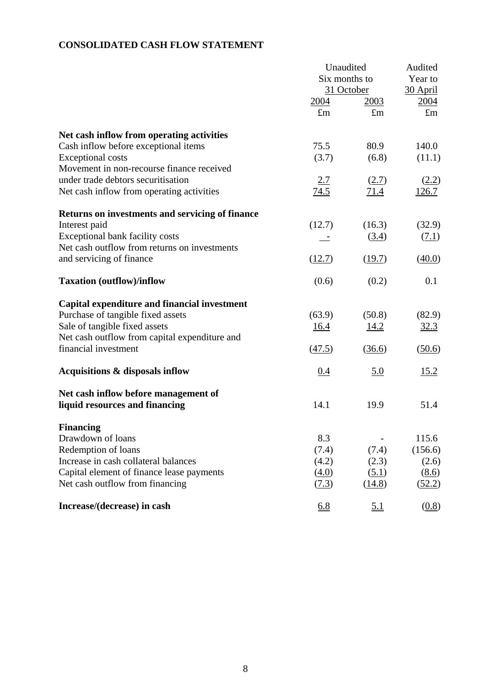## **CONSOLIDATED CASH FLOW STATEMENT**

|                                                 | Unaudited           | Audited     |             |
|-------------------------------------------------|---------------------|-------------|-------------|
|                                                 | Six months to       |             | Year to     |
|                                                 | 31 October          |             | 30 April    |
|                                                 | 2004                | <u>2003</u> | 2004        |
|                                                 | $\pounds$ m         | $\pounds$ m | $\pounds$ m |
| Net cash inflow from operating activities       |                     |             |             |
| Cash inflow before exceptional items            | 75.5                | 80.9        | 140.0       |
| <b>Exceptional costs</b>                        | (3.7)               | (6.8)       | (11.1)      |
| Movement in non-recourse finance received       |                     |             |             |
| under trade debtors securitisation              | 2.7                 | (2.7)       | (2.2)       |
| Net cash inflow from operating activities       | 74.5                | 71.4        | 126.7       |
| Returns on investments and servicing of finance |                     |             |             |
| Interest paid                                   | (12.7)              | (16.3)      | (32.9)      |
| <b>Exceptional bank facility costs</b>          |                     | (3.4)       | (7.1)       |
| Net cash outflow from returns on investments    |                     |             |             |
| and servicing of finance                        | (12.7)              | (19.7)      | (40.0)      |
| <b>Taxation (outflow)/inflow</b>                | (0.6)               | (0.2)       | 0.1         |
| Capital expenditure and financial investment    |                     |             |             |
| Purchase of tangible fixed assets               | (63.9)              | (50.8)      | (82.9)      |
| Sale of tangible fixed assets                   | 16.4                | 14.2        | 32.3        |
| Net cash outflow from capital expenditure and   |                     |             |             |
| financial investment                            | $\left(47.5\right)$ | (36.6)      | (50.6)      |
| Acquisitions & disposals inflow                 | 0.4                 | <u>5.0</u>  | 15.2        |
| Net cash inflow before management of            |                     |             |             |
| liquid resources and financing                  | 14.1                | 19.9        | 51.4        |
| <b>Financing</b>                                |                     |             |             |
| Drawdown of loans                               | 8.3                 |             | 115.6       |
| Redemption of loans                             | (7.4)               | (7.4)       | (156.6)     |
| Increase in cash collateral balances            | (4.2)               | (2.3)       | (2.6)       |
| Capital element of finance lease payments       | (4.0)               | (5.1)       | (8.6)       |
| Net cash outflow from financing                 | (7.3)               | (14.8)      | (52.2)      |
| Increase/(decrease) in cash                     | 6.8                 | <u>5.1</u>  | (0.8)       |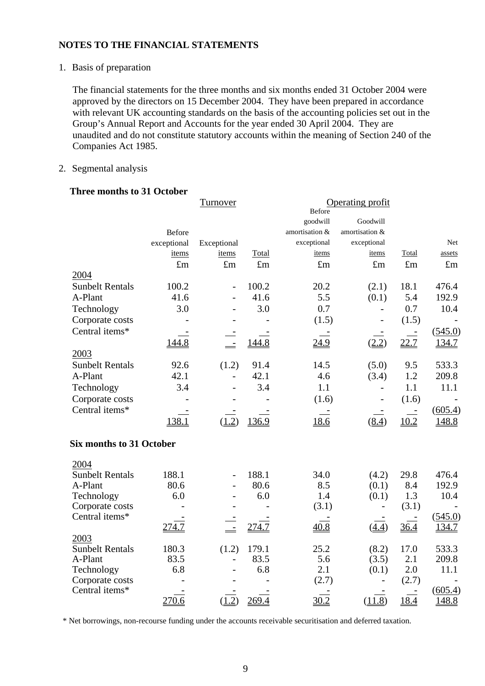1. Basis of preparation

The financial statements for the three months and six months ended 31 October 2004 were approved by the directors on 15 December 2004. They have been prepared in accordance with relevant UK accounting standards on the basis of the accounting policies set out in the Group's Annual Report and Accounts for the year ended 30 April 2004. They are unaudited and do not constitute statutory accounts within the meaning of Section 240 of the Companies Act 1985.

#### 2. Segmental analysis

#### **Three months to 31 October**

|                                 |               | <b>Turnover</b>          |             | Before         | Operating profit         |             |               |
|---------------------------------|---------------|--------------------------|-------------|----------------|--------------------------|-------------|---------------|
|                                 |               |                          |             | goodwill       | Goodwill                 |             |               |
|                                 | <b>Before</b> |                          |             | amortisation & | amortisation &           |             |               |
|                                 | exceptional   | Exceptional              |             | exceptional    | exceptional              |             | Net           |
|                                 | items         | items                    | Total       | items          | items                    | Total       | assets        |
|                                 | £m            | $\pounds$ m              | $\pounds$ m | $\pounds$ m    | $\pounds$ m              | $\pounds$ m | $\pounds$ m   |
| 2004                            |               |                          |             |                |                          |             |               |
| <b>Sunbelt Rentals</b>          | 100.2         | $\overline{\phantom{0}}$ | 100.2       | 20.2           | (2.1)                    | 18.1        | 476.4         |
| A-Plant                         | 41.6          | $\overline{\phantom{0}}$ | 41.6        | 5.5            | (0.1)                    | 5.4         | 192.9         |
| Technology                      | 3.0           | $\overline{\phantom{0}}$ | 3.0         | 0.7            | $\overline{\phantom{a}}$ | 0.7         | 10.4          |
| Corporate costs                 |               |                          |             | (1.5)          |                          | (1.5)       |               |
| Central items*                  |               |                          |             |                |                          | $\sim$      | (545.0)       |
|                                 | 144.8         | $\equiv$                 | 144.8       | <u>24.9</u>    | (2.2)                    | 22.7        | 134.7         |
| 2003                            |               |                          |             |                |                          |             |               |
| <b>Sunbelt Rentals</b>          | 92.6          | (1.2)                    | 91.4        | 14.5           | (5.0)                    | 9.5         | 533.3         |
| A-Plant                         | 42.1          | $\frac{1}{2}$            | 42.1        | 4.6            | (3.4)                    | 1.2         | 209.8         |
| Technology                      | 3.4           | $\overline{\phantom{0}}$ | 3.4         | 1.1            |                          | 1.1         | 11.1          |
| Corporate costs                 |               |                          |             | (1.6)          |                          | (1.6)       |               |
| Central items*                  |               |                          |             |                |                          |             | (605.4)       |
|                                 | 138.1         | (1.2)                    | 136.9       | 18.6           | (8.4)                    | 10.2        | 148.8         |
|                                 |               |                          |             |                |                          |             |               |
| <b>Six months to 31 October</b> |               |                          |             |                |                          |             |               |
| 2004                            |               |                          |             |                |                          |             |               |
| <b>Sunbelt Rentals</b>          | 188.1         | $\overline{\phantom{0}}$ | 188.1       | 34.0           | (4.2)                    | 29.8        | 476.4         |
| A-Plant                         | 80.6          | $\overline{\phantom{0}}$ | 80.6        | 8.5            | (0.1)                    | 8.4         | 192.9         |
| Technology                      | 6.0           |                          | 6.0         | 1.4            | (0.1)                    | 1.3         | 10.4          |
| Corporate costs                 |               |                          |             | (3.1)          |                          | (3.1)       |               |
| Central items*                  |               |                          |             |                |                          |             | (545.0)       |
|                                 | 274.7         |                          | 274.7       | 40.8           | (4.4)                    | 36.4        | 134.7         |
| 2003                            |               |                          |             |                |                          |             |               |
| <b>Sunbelt Rentals</b>          | 180.3         | (1.2)                    | 179.1       | 25.2           | (8.2)                    | 17.0        | 533.3         |
| A-Plant                         | 83.5<br>6.8   | $\overline{\phantom{0}}$ | 83.5<br>6.8 | 5.6<br>2.1     | (3.5)                    | 2.1<br>2.0  | 209.8<br>11.1 |
| Technology<br>Corporate costs   |               |                          |             | (2.7)          | (0.1)                    | (2.7)       |               |
| Central items*                  |               |                          |             |                |                          |             | (605.4)       |
|                                 | 270.6         | (1.2)                    | 269.4       | 30.2           | (11.8)                   | 18.4        | 148.8         |
|                                 |               |                          |             |                |                          |             |               |

\* Net borrowings, non-recourse funding under the accounts receivable securitisation and deferred taxation.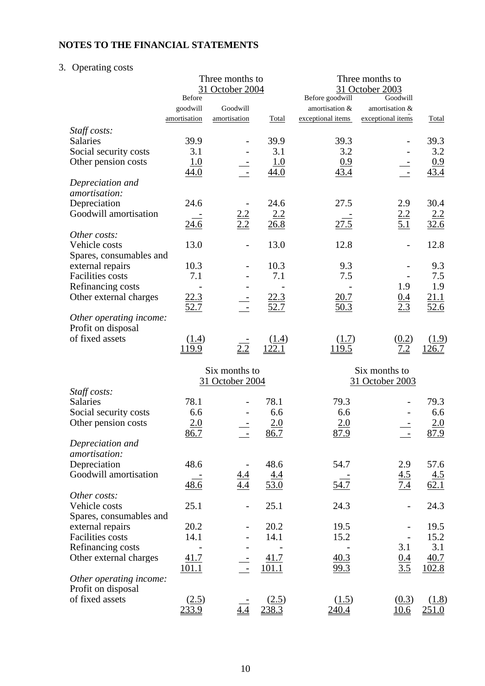## 3. Operating costs

|                         | Three months to<br>31 October 2004 |                   |             | Three months to<br>31 October 2003<br>Goodwill |                   |                    |  |
|-------------------------|------------------------------------|-------------------|-------------|------------------------------------------------|-------------------|--------------------|--|
|                         | <b>Before</b>                      | Goodwill          |             | Before goodwill<br>amortisation &              | amortisation &    |                    |  |
|                         | goodwill                           |                   |             |                                                | exceptional items |                    |  |
|                         | amortisation                       | amortisation      | Total       | exceptional items                              |                   | <b>Total</b>       |  |
| Staff costs:            |                                    |                   |             |                                                |                   |                    |  |
| Salaries                | 39.9                               |                   | 39.9        | 39.3                                           |                   | 39.3               |  |
| Social security costs   | 3.1                                |                   | 3.1         | 3.2                                            |                   | 3.2                |  |
| Other pension costs     | 1.0                                |                   | 1.0         | 0.9                                            |                   | 0.9                |  |
|                         | 44.0                               |                   | 44.0        | 43.4                                           |                   | 43.4               |  |
| Depreciation and        |                                    |                   |             |                                                |                   |                    |  |
| amortisation:           |                                    |                   |             |                                                |                   |                    |  |
| Depreciation            | 24.6                               |                   | 24.6        | 27.5                                           | 2.9               | 30.4               |  |
| Goodwill amortisation   |                                    | $\frac{2.2}{2.2}$ | 2.2         |                                                | $\frac{2.2}{5.1}$ | $\frac{2.2}{32.6}$ |  |
|                         | 24.6                               |                   | 26.8        | $\frac{27.5}{ }$                               |                   |                    |  |
| Other costs:            |                                    |                   |             |                                                |                   |                    |  |
| Vehicle costs           | 13.0                               |                   | 13.0        | 12.8                                           |                   | 12.8               |  |
| Spares, consumables and |                                    |                   |             |                                                |                   |                    |  |
| external repairs        | 10.3                               |                   | 10.3        | 9.3                                            |                   | 9.3                |  |
| <b>Facilities</b> costs | 7.1                                |                   | 7.1         | 7.5                                            |                   | 7.5                |  |
| Refinancing costs       |                                    |                   |             |                                                | 1.9               | 1.9                |  |
| Other external charges  | <u>22.3</u>                        |                   | 22.3        | 20.7                                           |                   | 21.1               |  |
|                         | $\frac{52.7}{2}$                   |                   | 52.7        | 50.3                                           | $\frac{0.4}{2.3}$ | 52.6               |  |
| Other operating income: |                                    |                   |             |                                                |                   |                    |  |
| Profit on disposal      |                                    |                   |             |                                                |                   |                    |  |
| of fixed assets         | (1.4)                              |                   | (1.4)       | (1.7)                                          | (0.2)             | (1.9)              |  |
|                         | 119.9                              | 2.2               | 122.1       | 119.5                                          | 7.2               | 126.7              |  |
|                         |                                    |                   |             |                                                |                   |                    |  |
|                         |                                    | Six months to     |             |                                                | Six months to     |                    |  |
|                         |                                    | 31 October 2004   |             |                                                | 31 October 2003   |                    |  |
| Staff costs:            |                                    |                   |             |                                                |                   |                    |  |
| Salaries                | 78.1                               |                   | 78.1        | 79.3                                           |                   | 79.3               |  |
| Social security costs   | 6.6                                |                   | 6.6         | 6.6                                            |                   | 6.6                |  |
| Other pension costs     | 2.0                                |                   | 2.0         | 2.0                                            |                   | 2.0                |  |
|                         | 86.7                               |                   | 86.7        | 87.9                                           |                   | 87.9               |  |
| Depreciation and        |                                    |                   |             |                                                |                   |                    |  |
| amortisation:           |                                    |                   |             |                                                |                   |                    |  |
| Depreciation            | 48.6                               |                   | 48.6        | 54.7                                           | 2.9               | 57.6               |  |
| Goodwill amortisation   |                                    |                   |             |                                                |                   |                    |  |
|                         |                                    |                   | <u>4.4</u>  |                                                | $\frac{4.5}{7.4}$ | $\frac{4.5}{62.1}$ |  |
|                         | 48.6                               |                   | 53.0        | 54.7                                           |                   |                    |  |
| Other costs:            |                                    |                   |             |                                                |                   |                    |  |
| Vehicle costs           | 25.1                               |                   | 25.1        | 24.3                                           |                   | 24.3               |  |
| Spares, consumables and |                                    |                   |             |                                                |                   |                    |  |
| external repairs        | 20.2                               |                   | 20.2        | 19.5                                           |                   | 19.5               |  |
| <b>Facilities costs</b> | 14.1                               |                   | 14.1        | 15.2                                           |                   | 15.2               |  |
| Refinancing costs       |                                    |                   |             |                                                | 3.1               | 3.1                |  |
| Other external charges  | <u>41.7</u>                        |                   | <u>41.7</u> | <u>40.3</u>                                    | $\frac{0.4}{3.5}$ | 40.7               |  |
|                         | 101.1                              |                   | 101.1       | 99.3                                           |                   | 102.8              |  |
| Other operating income: |                                    |                   |             |                                                |                   |                    |  |
| Profit on disposal      |                                    |                   |             |                                                |                   |                    |  |
| of fixed assets         | (2.5)                              |                   | (2.5)       | (1.5)                                          | (0.3)             | (1.8)              |  |
|                         | 233.9                              |                   |             | 240.4                                          | 10.6              | 251.0              |  |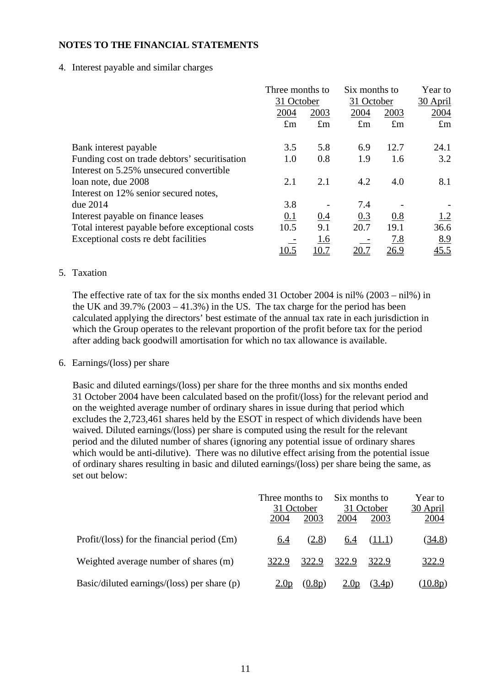4. Interest payable and similar charges

|                                                 | Three months to |             | Six months to |             | Year to     |
|-------------------------------------------------|-----------------|-------------|---------------|-------------|-------------|
|                                                 | 31 October      |             | 31 October    |             | 30 April    |
|                                                 | 2004            | 2003        | 2004          | 2003        | 2004        |
|                                                 | $\pounds$ m     | $\pounds$ m | $\pounds$ m   | $\pounds$ m | $\pounds$ m |
|                                                 | 3.5             | 5.8         | 6.9           | 12.7        | 24.1        |
| Bank interest payable                           |                 |             |               |             |             |
| Funding cost on trade debtors' securitisation   | 1.0             | 0.8         | 1.9           | 1.6         | 3.2         |
| Interest on 5.25% unsecured convertible         |                 |             |               |             |             |
| loan note, due 2008                             | 2.1             | 2.1         | 4.2           | 4.0         | 8.1         |
| Interest on 12% senior secured notes,           |                 |             |               |             |             |
| due $2014$                                      | 3.8             |             | 7.4           |             |             |
| Interest payable on finance leases              | 0.1             | 0.4         | 0.3           | 0.8         | 1.2         |
| Total interest payable before exceptional costs | 10.5            | 9.1         | 20.7          | 19.1        | 36.6        |
| Exceptional costs re debt facilities            |                 | 1.6         |               | 7.8         | 8.9         |
|                                                 | 10.5            | 10.7        | <u>20.7</u>   | <u>26.9</u> | 45.5        |

#### 5. Taxation

The effective rate of tax for the six months ended 31 October 2004 is nil% (2003 – nil%) in the UK and  $39.7\%$  ( $2003 - 41.3\%$ ) in the US. The tax charge for the period has been calculated applying the directors' best estimate of the annual tax rate in each jurisdiction in which the Group operates to the relevant proportion of the profit before tax for the period after adding back goodwill amortisation for which no tax allowance is available.

#### 6. Earnings/(loss) per share

Basic and diluted earnings/(loss) per share for the three months and six months ended 31 October 2004 have been calculated based on the profit/(loss) for the relevant period and on the weighted average number of ordinary shares in issue during that period which excludes the 2,723,461 shares held by the ESOT in respect of which dividends have been waived. Diluted earnings/(loss) per share is computed using the result for the relevant period and the diluted number of shares (ignoring any potential issue of ordinary shares which would be anti-dilutive). There was no dilutive effect arising from the potential issue of ordinary shares resulting in basic and diluted earnings/(loss) per share being the same, as set out below:

|                                               | Three months to<br>31 October |        | Six months to<br>31 October |        | Year to<br>30 April |
|-----------------------------------------------|-------------------------------|--------|-----------------------------|--------|---------------------|
|                                               | 2004                          | 2003   | 2004                        | 2003   | 2004                |
| Profit/(loss) for the financial period $(fm)$ | 6.4                           | (2.8)  | <u>6.4</u>                  | (11.1) | <u>(34.8)</u>       |
| Weighted average number of shares (m)         | 322.9                         | 322.9  | 322.9                       | 322.9  | 322.9               |
| Basic/diluted earnings/(loss) per share $(p)$ | 2.0p                          | (0.8p) | 2.0 <sub>p</sub>            | (3.4p) | (10.8p)             |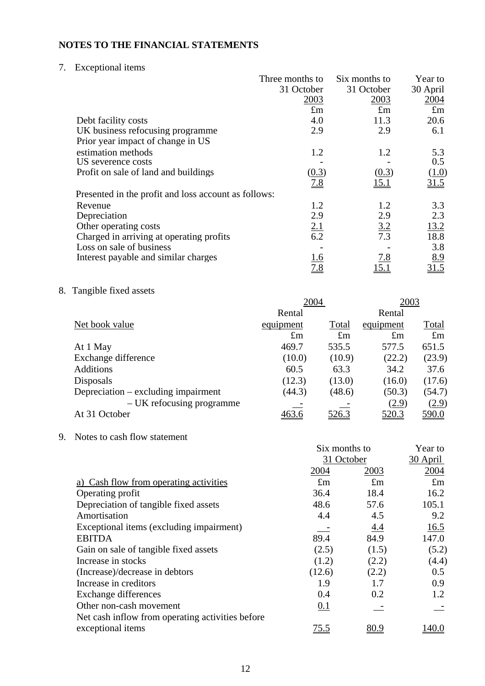7. Exceptional items

|                                                      | Three months to   | Six months to     | Year to     |
|------------------------------------------------------|-------------------|-------------------|-------------|
|                                                      | 31 October        | 31 October        | 30 April    |
|                                                      | 2003              | 2003              | 2004        |
|                                                      | $\pounds$ m       | $\pounds$ m       | $\pounds$ m |
| Debt facility costs                                  | 4.0               | 11.3              | 20.6        |
| UK business refocusing programme                     | 2.9               | 2.9               | 6.1         |
| Prior year impact of change in US                    |                   |                   |             |
| estimation methods                                   | 1.2               | 1.2               | 5.3         |
| US severence costs                                   |                   |                   | 0.5         |
| Profit on sale of land and buildings                 | (0.3)             | (0.3)             | (1.0)       |
|                                                      | $\underline{7.8}$ | <u>15.1</u>       | 31.5        |
| Presented in the profit and loss account as follows: |                   |                   |             |
| Revenue                                              | 1.2               | 1.2               | 3.3         |
| Depreciation                                         | 2.9               | 2.9               | 2.3         |
| Other operating costs                                |                   | $\frac{3.2}{7.3}$ | 13.2        |
| Charged in arriving at operating profits             | $\frac{2.1}{6.2}$ |                   | 18.8        |
| Loss on sale of business                             |                   |                   | 3.8         |
| Interest payable and similar charges                 | <u>1.6</u>        | 7.8               | 8.9         |
|                                                      | 7.8               | 15.1              | 31.5        |

8. Tangible fixed assets

|                                     | 2004        |              | 2003         |              |
|-------------------------------------|-------------|--------------|--------------|--------------|
|                                     | Rental      |              | Rental       |              |
| Net book value                      | equipment   | Total        | equipment    | Total        |
|                                     | $\pounds$ m | $\pounds$ m  | $\pounds$ m  | $\pounds$ m  |
| At 1 May                            | 469.7       | 535.5        | 577.5        | 651.5        |
| Exchange difference                 | (10.0)      | (10.9)       | (22.2)       | (23.9)       |
| <b>Additions</b>                    | 60.5        | 63.3         | 34.2         | 37.6         |
| Disposals                           | (12.3)      | (13.0)       | (16.0)       | (17.6)       |
| Depreciation – excluding impairment | (44.3)      | (48.6)       | (50.3)       | (54.7)       |
| – UK refocusing programme           |             |              | (2.9)        | (2.9)        |
| At 31 October                       | 463.6       | <u>526.3</u> | <u>520.3</u> | <u>590.0</u> |
|                                     |             |              |              |              |

9. Notes to cash flow statement

|                                                   | Six months to | Year to     |             |
|---------------------------------------------------|---------------|-------------|-------------|
|                                                   | 31 October    |             | 30 April    |
|                                                   | 2004          | 2003        | 2004        |
| a) Cash flow from operating activities            | $\pounds$ m   | $\pounds$ m | $\pounds$ m |
| Operating profit                                  | 36.4          | 18.4        | 16.2        |
| Depreciation of tangible fixed assets             | 48.6          | 57.6        | 105.1       |
| Amortisation                                      | 4.4           | 4.5         | 9.2         |
| Exceptional items (excluding impairment)          |               | 4.4         | 16.5        |
| <b>EBITDA</b>                                     | 89.4          | 84.9        | 147.0       |
| Gain on sale of tangible fixed assets             | (2.5)         | (1.5)       | (5.2)       |
| Increase in stocks                                | (1.2)         | (2.2)       | (4.4)       |
| (Increase)/decrease in debtors                    | (12.6)        | (2.2)       | 0.5         |
| Increase in creditors                             | 1.9           | 1.7         | 0.9         |
| Exchange differences                              | 0.4           | 0.2         | 1.2         |
| Other non-cash movement                           | 0.1           |             |             |
| Net cash inflow from operating activities before. |               |             |             |
| exceptional items                                 | <u>75.5</u>   | <u>80.9</u> | 140.0       |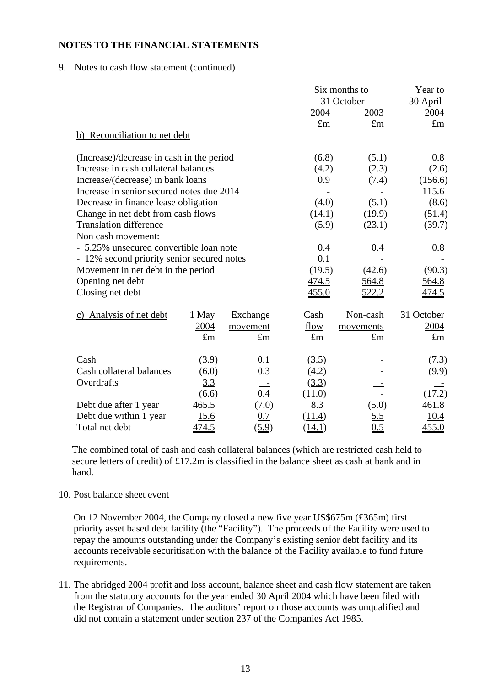9. Notes to cash flow statement (continued)

|                                            |              |                     |              | Six months to | Year to     |
|--------------------------------------------|--------------|---------------------|--------------|---------------|-------------|
|                                            |              |                     |              | 31 October    | 30 April    |
|                                            |              |                     | 2004         | 2003          | 2004        |
|                                            |              |                     | $\pounds$ m  | $\pounds m$   | $\pounds$ m |
| b) Reconciliation to net debt              |              |                     |              |               |             |
| (Increase)/decrease in cash in the period  |              |                     | (6.8)        | (5.1)         | $0.8\,$     |
| Increase in cash collateral balances       |              |                     | (4.2)        | (2.3)         | (2.6)       |
| Increase/(decrease) in bank loans          |              |                     | 0.9          | (7.4)         | (156.6)     |
| Increase in senior secured notes due 2014  |              |                     |              |               | 115.6       |
| Decrease in finance lease obligation       |              |                     | (4.0)        | (5.1)         | (8.6)       |
| Change in net debt from cash flows         |              |                     | (14.1)       | (19.9)        | (51.4)      |
| <b>Translation difference</b>              |              |                     | (5.9)        | (23.1)        | (39.7)      |
| Non cash movement:                         |              |                     |              |               |             |
| - 5.25% unsecured convertible loan note    |              |                     | 0.4          | 0.4           | 0.8         |
| - 12% second priority senior secured notes |              |                     | 0.1          |               |             |
| Movement in net debt in the period         |              |                     | (19.5)       | (42.6)        | (90.3)      |
| Opening net debt                           |              |                     | <u>474.5</u> | 564.8         | 564.8       |
| Closing net debt                           |              |                     | 455.0        | <u>522.2</u>  | 474.5       |
| c) Analysis of net debt                    | 1 May        | Exchange            | Cash         | Non-cash      | 31 October  |
|                                            | 2004         | movement            | flow         | movements     | 2004        |
|                                            | $\pounds$ m  | $\pounds$ m         | $\pounds$ m  | $\pounds$ m   | $\pounds$ m |
| Cash                                       | (3.9)        | 0.1                 | (3.5)        |               | (7.3)       |
| Cash collateral balances                   | (6.0)        | 0.3                 | (4.2)        |               | (9.9)       |
| Overdrafts                                 | 3.3          |                     | (3.3)        |               |             |
|                                            | (6.6)        | 0.4                 | (11.0)       |               | (17.2)      |
| Debt due after 1 year                      | 465.5        | (7.0)               | 8.3          | (5.0)         | 461.8       |
| Debt due within 1 year                     | <u>15.6</u>  | 0.7                 | (11.4)       | <u>5.5</u>    | 10.4        |
| Total net debt                             | <u>474.5</u> | $(\underline{5.9})$ | (14.1)       | 0.5           | 455.0       |

The combined total of cash and cash collateral balances (which are restricted cash held to secure letters of credit) of £17.2m is classified in the balance sheet as cash at bank and in hand.

10. Post balance sheet event

On 12 November 2004, the Company closed a new five year US\$675m (£365m) first priority asset based debt facility (the "Facility"). The proceeds of the Facility were used to repay the amounts outstanding under the Company's existing senior debt facility and its accounts receivable securitisation with the balance of the Facility available to fund future requirements.

11. The abridged 2004 profit and loss account, balance sheet and cash flow statement are taken from the statutory accounts for the year ended 30 April 2004 which have been filed with the Registrar of Companies. The auditors' report on those accounts was unqualified and did not contain a statement under section 237 of the Companies Act 1985.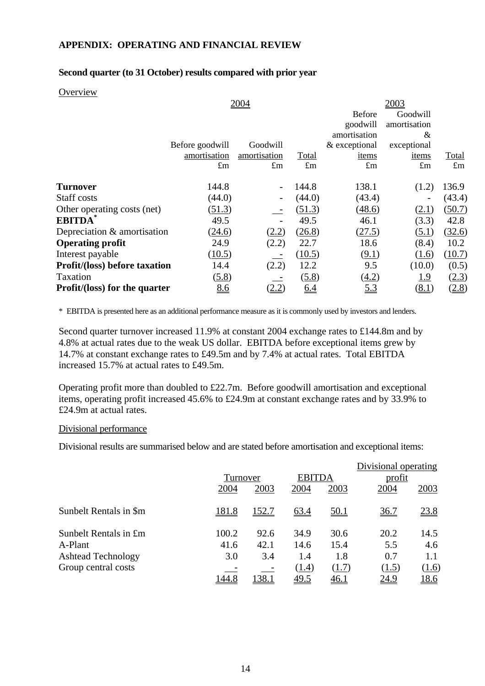### **APPENDIX: OPERATING AND FINANCIAL REVIEW**

#### **Second quarter (to 31 October) results compared with prior year**

#### **Overview**

|                                              |                             | 2003                                |                             |                              |                            |
|----------------------------------------------|-----------------------------|-------------------------------------|-----------------------------|------------------------------|----------------------------|
|                                              |                             |                                     | <b>Before</b>               | Goodwill                     |                            |
|                                              |                             |                                     | goodwill                    | amortisation                 |                            |
|                                              |                             |                                     | amortisation                | &                            |                            |
| Before goodwill                              | Goodwill                    |                                     |                             |                              |                            |
|                                              |                             |                                     | items                       | items                        | Total                      |
|                                              |                             |                                     |                             |                              | $\pounds$ m                |
| 144.8                                        |                             | 144.8                               | 138.1                       | (1.2)                        | 136.9                      |
| (44.0)                                       |                             | (44.0)                              | (43.4)                      |                              | (43.4)                     |
| (51.3)                                       |                             | (51.3)                              | (48.6)                      | (2.1)                        | (50.7)                     |
| 49.5                                         |                             | 49.5                                | 46.1                        | (3.3)                        | 42.8                       |
| Depreciation & amortisation<br>(24.6)        | (2.2)                       | (26.8)                              | (27.5)                      | (5.1)                        | (32.6)                     |
| 24.9                                         | (2.2)                       | 22.7                                | 18.6                        | (8.4)                        | 10.2                       |
| (10.5)                                       |                             | (10.5)                              | (9.1)                       | (1.6)                        | (10.7)                     |
| <b>Profit/(loss) before taxation</b><br>14.4 | (2.2)                       | 12.2                                | 9.5                         | (10.0)                       | (0.5)                      |
| (5.8)                                        |                             | (5.8)                               | (4.2)                       | 1.9                          | (2.3)                      |
| 8.6<br><b>Profit/(loss) for the quarter</b>  | <u>(2.2)</u>                | $\underline{6.4}$                   | <u>5.3</u>                  | <u>(8.1)</u>                 | (2.8)                      |
|                                              | amortisation<br>$\pounds$ m | 2004<br>amortisation<br>$\pounds$ m | <b>Total</b><br>$\pounds$ m | & exceptional<br>$\pounds$ m | exceptional<br>$\pounds$ m |

\* EBITDA is presented here as an additional performance measure as it is commonly used by investors and lenders.

Second quarter turnover increased 11.9% at constant 2004 exchange rates to £144.8m and by 4.8% at actual rates due to the weak US dollar. EBITDA before exceptional items grew by 14.7% at constant exchange rates to £49.5m and by 7.4% at actual rates. Total EBITDA increased 15.7% at actual rates to £49.5m.

Operating profit more than doubled to £22.7m. Before goodwill amortisation and exceptional items, operating profit increased 45.6% to £24.9m at constant exchange rates and by 33.9% to £24.9m at actual rates.

#### Divisional performance

Divisional results are summarised below and are stated before amortisation and exceptional items:

|                           |              |       |               |                  | Divisional operating |             |
|---------------------------|--------------|-------|---------------|------------------|----------------------|-------------|
|                           | Turnover     |       | <b>EBITDA</b> |                  | profit               |             |
|                           | 2004         | 2003  | 2004          | 2003             | 2004                 | 2003        |
| Sunbelt Rentals in \$m    | <u>181.8</u> | 152.7 | 63.4          | <u>50.1</u>      | <u>36.7</u>          | 23.8        |
| Sunbelt Rentals in £m     | 100.2        | 92.6  | 34.9          | 30.6             | 20.2                 | 14.5        |
| A-Plant                   | 41.6         | 42.1  | 14.6          | 15.4             | 5.5                  | 4.6         |
| <b>Ashtead Technology</b> | 3.0          | 3.4   | 1.4           | 1.8              | 0.7                  | 1.1         |
| Group central costs       |              |       | (1.4)         | (1.7)            | (1.5)                | (1.6)       |
|                           | 144.8        | 38.   | <u>49.5</u>   | $\frac{46.1}{1}$ | <u>24.9</u>          | <u>18.6</u> |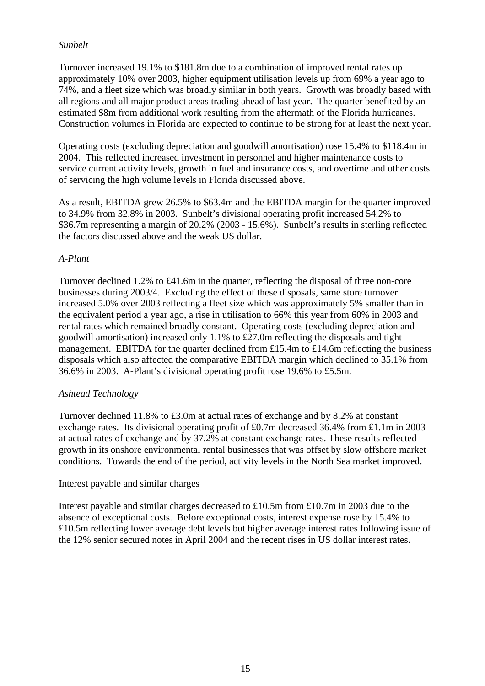## *Sunbelt*

Turnover increased 19.1% to \$181.8m due to a combination of improved rental rates up approximately 10% over 2003, higher equipment utilisation levels up from 69% a year ago to 74%, and a fleet size which was broadly similar in both years. Growth was broadly based with all regions and all major product areas trading ahead of last year. The quarter benefited by an estimated \$8m from additional work resulting from the aftermath of the Florida hurricanes. Construction volumes in Florida are expected to continue to be strong for at least the next year.

Operating costs (excluding depreciation and goodwill amortisation) rose 15.4% to \$118.4m in 2004. This reflected increased investment in personnel and higher maintenance costs to service current activity levels, growth in fuel and insurance costs, and overtime and other costs of servicing the high volume levels in Florida discussed above.

As a result, EBITDA grew 26.5% to \$63.4m and the EBITDA margin for the quarter improved to 34.9% from 32.8% in 2003. Sunbelt's divisional operating profit increased 54.2% to \$36.7m representing a margin of 20.2% (2003 - 15.6%). Sunbelt's results in sterling reflected the factors discussed above and the weak US dollar.

## *A-Plant*

Turnover declined 1.2% to £41.6m in the quarter, reflecting the disposal of three non-core businesses during 2003/4. Excluding the effect of these disposals, same store turnover increased 5.0% over 2003 reflecting a fleet size which was approximately 5% smaller than in the equivalent period a year ago, a rise in utilisation to 66% this year from 60% in 2003 and rental rates which remained broadly constant. Operating costs (excluding depreciation and goodwill amortisation) increased only 1.1% to £27.0m reflecting the disposals and tight management. EBITDA for the quarter declined from £15.4m to £14.6m reflecting the business disposals which also affected the comparative EBITDA margin which declined to 35.1% from 36.6% in 2003. A-Plant's divisional operating profit rose 19.6% to £5.5m.

## *Ashtead Technology*

Turnover declined 11.8% to £3.0m at actual rates of exchange and by 8.2% at constant exchange rates. Its divisional operating profit of £0.7m decreased 36.4% from £1.1m in 2003 at actual rates of exchange and by 37.2% at constant exchange rates. These results reflected growth in its onshore environmental rental businesses that was offset by slow offshore market conditions. Towards the end of the period, activity levels in the North Sea market improved.

#### Interest payable and similar charges

Interest payable and similar charges decreased to £10.5m from £10.7m in 2003 due to the absence of exceptional costs. Before exceptional costs, interest expense rose by 15.4% to £10.5m reflecting lower average debt levels but higher average interest rates following issue of the 12% senior secured notes in April 2004 and the recent rises in US dollar interest rates.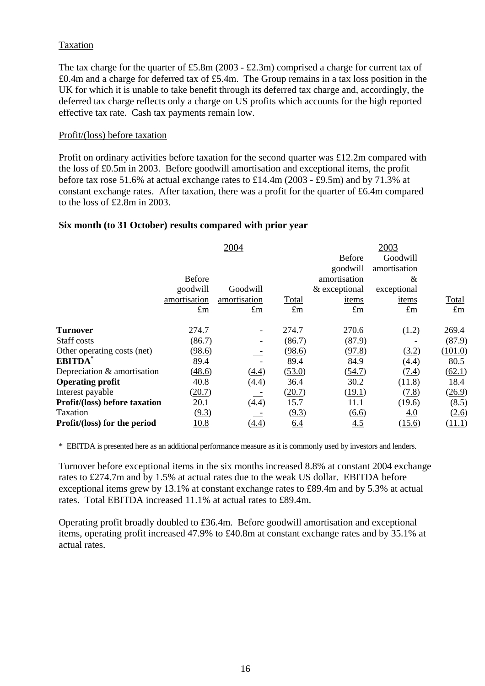## Taxation

The tax charge for the quarter of £5.8m (2003 - £2.3m) comprised a charge for current tax of £0.4m and a charge for deferred tax of £5.4m. The Group remains in a tax loss position in the UK for which it is unable to take benefit through its deferred tax charge and, accordingly, the deferred tax charge reflects only a charge on US profits which accounts for the high reported effective tax rate. Cash tax payments remain low.

#### Profit/(loss) before taxation

Profit on ordinary activities before taxation for the second quarter was £12.2m compared with the loss of £0.5m in 2003. Before goodwill amortisation and exceptional items, the profit before tax rose 51.6% at actual exchange rates to £14.4m (2003 - £9.5m) and by 71.3% at constant exchange rates. After taxation, there was a profit for the quarter of £6.4m compared to the loss of £2.8m in 2003.

#### **Six month (to 31 October) results compared with prior year**

|                                      |               | 2004                         |                   |                   | 2003         |             |
|--------------------------------------|---------------|------------------------------|-------------------|-------------------|--------------|-------------|
|                                      |               |                              |                   | <b>Before</b>     | Goodwill     |             |
|                                      |               |                              |                   | goodwill          | amortisation |             |
|                                      | <b>Before</b> |                              |                   | amortisation      | &            |             |
|                                      | goodwill      | Goodwill                     |                   | & exceptional     | exceptional  |             |
|                                      | amortisation  | amortisation                 | Total             | items             | items        | Total       |
|                                      | $\pounds$ m   | $\pounds$ m                  | $\pounds$ m       | $\pounds$ m       | $\pounds$ m  | $\pounds$ m |
| <b>Turnover</b>                      | 274.7         | $\qquad \qquad \blacksquare$ | 274.7             | 270.6             | (1.2)        | 269.4       |
| Staff costs                          | (86.7)        |                              | (86.7)            | (87.9)            |              | (87.9)      |
| Other operating costs (net)          | (98.6)        |                              | (98.6)            | (97.8)            | (3.2)        | (101.0)     |
| <b>EBITDA</b>                        | 89.4          |                              | 89.4              | 84.9              | (4.4)        | 80.5        |
| Depreciation & amortisation          | (48.6)        | (4.4)                        | (53.0)            | (54.7)            | (7.4)        | (62.1)      |
| <b>Operating profit</b>              | 40.8          | (4.4)                        | 36.4              | 30.2              | (11.8)       | 18.4        |
| Interest payable                     | (20.7)        |                              | (20.7)            | (19.1)            | (7.8)        | (26.9)      |
| <b>Profit/(loss) before taxation</b> | 20.1          | (4.4)                        | 15.7              | 11.1              | (19.6)       | (8.5)       |
| Taxation                             | (9.3)         |                              | (9.3)             | (6.6)             | 4.0          | (2.6)       |
| Profit/(loss) for the period         | 10.8          | (4.4)                        | $\underline{6.4}$ | $\underline{4.5}$ | (15.6)       | (11.1)      |

\* EBITDA is presented here as an additional performance measure as it is commonly used by investors and lenders.

Turnover before exceptional items in the six months increased 8.8% at constant 2004 exchange rates to £274.7m and by 1.5% at actual rates due to the weak US dollar. EBITDA before exceptional items grew by 13.1% at constant exchange rates to £89.4m and by 5.3% at actual rates. Total EBITDA increased 11.1% at actual rates to £89.4m.

Operating profit broadly doubled to £36.4m. Before goodwill amortisation and exceptional items, operating profit increased 47.9% to £40.8m at constant exchange rates and by 35.1% at actual rates.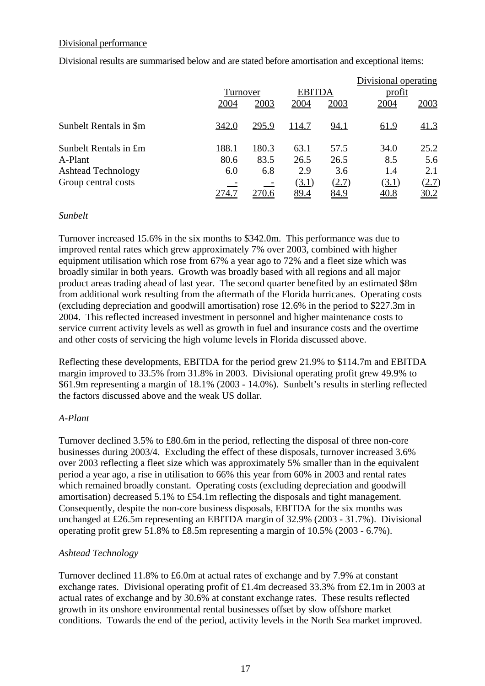### Divisional performance

Divisional results are summarised below and are stated before amortisation and exceptional items:

|                           |              |              |              |               | Divisional operating |              |
|---------------------------|--------------|--------------|--------------|---------------|----------------------|--------------|
|                           |              | Turnover     |              | <b>EBITDA</b> | profit               |              |
|                           | 2004         | 2003         | 2004         | 2003          | 2004                 | 2003         |
| Sunbelt Rentals in \$m    | <u>342.0</u> | <u>295.9</u> | <u>114.7</u> | <u>94.1</u>   | <u>61.9</u>          | 41.3         |
| Sunbelt Rentals in £m     | 188.1        | 180.3        | 63.1         | 57.5          | 34.0                 | 25.2         |
| A-Plant                   | 80.6         | 83.5         | 26.5         | 26.5          | 8.5                  | 5.6          |
| <b>Ashtead Technology</b> | 6.0          | 6.8          | 2.9          | 3.6           | 1.4                  | 2.1          |
| Group central costs       |              |              | (3.1)        | (2.7)         | (3.1)                | <u>(2.7)</u> |
|                           | 274.7        | 270.6        | 89.4         | 84.9          | 40.8                 | <u>30.2</u>  |

## *Sunbelt*

Turnover increased 15.6% in the six months to \$342.0m. This performance was due to improved rental rates which grew approximately 7% over 2003, combined with higher equipment utilisation which rose from 67% a year ago to 72% and a fleet size which was broadly similar in both years. Growth was broadly based with all regions and all major product areas trading ahead of last year. The second quarter benefited by an estimated \$8m from additional work resulting from the aftermath of the Florida hurricanes. Operating costs (excluding depreciation and goodwill amortisation) rose 12.6% in the period to \$227.3m in 2004. This reflected increased investment in personnel and higher maintenance costs to service current activity levels as well as growth in fuel and insurance costs and the overtime and other costs of servicing the high volume levels in Florida discussed above.

Reflecting these developments, EBITDA for the period grew 21.9% to \$114.7m and EBITDA margin improved to 33.5% from 31.8% in 2003. Divisional operating profit grew 49.9% to \$61.9m representing a margin of 18.1% (2003 - 14.0%). Sunbelt's results in sterling reflected the factors discussed above and the weak US dollar.

## *A-Plant*

Turnover declined 3.5% to £80.6m in the period, reflecting the disposal of three non-core businesses during 2003/4. Excluding the effect of these disposals, turnover increased 3.6% over 2003 reflecting a fleet size which was approximately 5% smaller than in the equivalent period a year ago, a rise in utilisation to 66% this year from 60% in 2003 and rental rates which remained broadly constant. Operating costs (excluding depreciation and goodwill amortisation) decreased 5.1% to £54.1m reflecting the disposals and tight management. Consequently, despite the non-core business disposals, EBITDA for the six months was unchanged at £26.5m representing an EBITDA margin of 32.9% (2003 - 31.7%). Divisional operating profit grew 51.8% to £8.5m representing a margin of 10.5% (2003 - 6.7%).

## *Ashtead Technology*

Turnover declined 11.8% to £6.0m at actual rates of exchange and by 7.9% at constant exchange rates. Divisional operating profit of £1.4m decreased 33.3% from £2.1m in 2003 at actual rates of exchange and by 30.6% at constant exchange rates. These results reflected growth in its onshore environmental rental businesses offset by slow offshore market conditions. Towards the end of the period, activity levels in the North Sea market improved.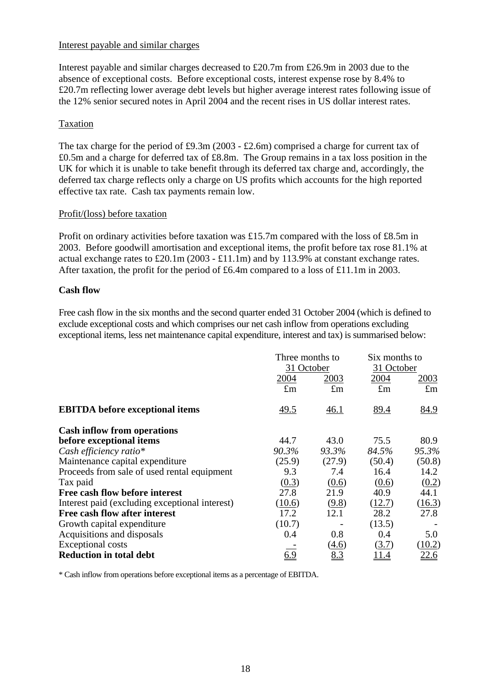### Interest payable and similar charges

Interest payable and similar charges decreased to £20.7m from £26.9m in 2003 due to the absence of exceptional costs. Before exceptional costs, interest expense rose by 8.4% to £20.7m reflecting lower average debt levels but higher average interest rates following issue of the 12% senior secured notes in April 2004 and the recent rises in US dollar interest rates.

## Taxation

The tax charge for the period of £9.3m (2003 - £2.6m) comprised a charge for current tax of £0.5m and a charge for deferred tax of £8.8m. The Group remains in a tax loss position in the UK for which it is unable to take benefit through its deferred tax charge and, accordingly, the deferred tax charge reflects only a charge on US profits which accounts for the high reported effective tax rate. Cash tax payments remain low.

## Profit/(loss) before taxation

Profit on ordinary activities before taxation was £15.7m compared with the loss of £8.5m in 2003. Before goodwill amortisation and exceptional items, the profit before tax rose 81.1% at actual exchange rates to £20.1m (2003 - £11.1m) and by 113.9% at constant exchange rates. After taxation, the profit for the period of £6.4m compared to a loss of £11.1m in 2003.

## **Cash flow**

Free cash flow in the six months and the second quarter ended 31 October 2004 (which is defined to exclude exceptional costs and which comprises our net cash inflow from operations excluding exceptional items, less net maintenance capital expenditure, interest and tax) is summarised below:

|                                                |             | Three months to<br>31 October |                    | Six months to |
|------------------------------------------------|-------------|-------------------------------|--------------------|---------------|
|                                                | 2004        | 2003                          | 31 October<br>2004 | 2003          |
|                                                | $\pounds$ m | $\pounds$ m                   | $\pounds$ m        | $\pounds$ m   |
| <b>EBITDA</b> before exceptional items         | 49.5        | 46.1                          | 89.4               | 84.9          |
| <b>Cash inflow from operations</b>             |             |                               |                    |               |
| before exceptional items                       | 44.7        | 43.0                          | 75.5               | 80.9          |
| Cash efficiency ratio $*$                      | 90.3%       | 93.3%                         | 84.5%              | 95.3%         |
| Maintenance capital expenditure                | (25.9)      | (27.9)                        | (50.4)             | (50.8)        |
| Proceeds from sale of used rental equipment    | 9.3         | 7.4                           | 16.4               | 14.2          |
| Tax paid                                       | (0.3)       | (0.6)                         | (0.6)              | (0.2)         |
| Free cash flow before interest                 | 27.8        | 21.9                          | 40.9               | 44.1          |
| Interest paid (excluding exceptional interest) | (10.6)      | (9.8)                         | (12.7)             | (16.3)        |
| Free cash flow after interest                  | 17.2        | 12.1                          | 28.2               | 27.8          |
| Growth capital expenditure                     | (10.7)      |                               | (13.5)             |               |
| Acquisitions and disposals                     | 0.4         | 0.8                           | 0.4                | 5.0           |
| <b>Exceptional costs</b>                       |             | (4.6)                         | (3.7)              | (10.2)        |
| <b>Reduction in total debt</b>                 | 6.9         | 8.3                           | l I.4              | <u>22.6</u>   |

\* Cash inflow from operations before exceptional items as a percentage of EBITDA.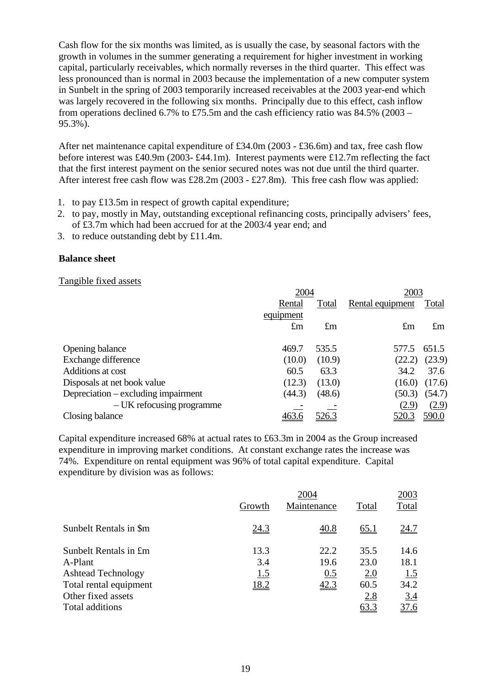Cash flow for the six months was limited, as is usually the case, by seasonal factors with the growth in volumes in the summer generating a requirement for higher investment in working capital, particularly receivables, which normally reverses in the third quarter. This effect was less pronounced than is normal in 2003 because the implementation of a new computer system in Sunbelt in the spring of 2003 temporarily increased receivables at the 2003 year-end which was largely recovered in the following six months. Principally due to this effect, cash inflow from operations declined 6.7% to £75.5m and the cash efficiency ratio was  $84.5\%$  (2003 – 95.3%).

After net maintenance capital expenditure of £34.0m (2003 - £36.6m) and tax, free cash flow before interest was £40.9m (2003- £44.1m). Interest payments were £12.7m reflecting the fact that the first interest payment on the senior secured notes was not due until the third quarter. After interest free cash flow was £28.2m (2003 - £27.8m). This free cash flow was applied:

- 1. to pay £13.5m in respect of growth capital expenditure;
- 2. to pay, mostly in May, outstanding exceptional refinancing costs, principally advisers' fees, of £3.7m which had been accrued for at the 2003/4 year end; and
- 3. to reduce outstanding debt by £11.4m.

#### **Balance sheet**

#### Tangible fixed assets

|                                     | 2004         |             | 2003             |              |  |
|-------------------------------------|--------------|-------------|------------------|--------------|--|
|                                     | Rental       | Total       | Rental equipment | Total        |  |
|                                     | equipment    |             |                  |              |  |
|                                     | $\pounds$ m  | $\pounds$ m | $\pounds$ m      | $\pounds$ m  |  |
|                                     |              |             |                  |              |  |
| Opening balance                     | 469.7        | 535.5       | 577.5            | 651.5        |  |
| Exchange difference                 | (10.0)       | (10.9)      | (22.2)           | (23.9)       |  |
| Additions at cost                   | 60.5         | 63.3        | 34.2             | 37.6         |  |
| Disposals at net book value         | (12.3)       | (13.0)      | (16.0)           | (17.6)       |  |
| Depreciation – excluding impairment | (44.3)       | (48.6)      | (50.3)           | (54.7)       |  |
| – UK refocusing programme           |              |             | (2.9)            | (2.9)        |  |
| Closing balance                     | <u>463.6</u> |             | <u>520.3</u>     | <u>590.0</u> |  |

Capital expenditure increased 68% at actual rates to £63.3m in 2004 as the Group increased expenditure in improving market conditions. At constant exchange rates the increase was 74%. Expenditure on rental equipment was 96% of total capital expenditure. Capital expenditure by division was as follows:

|                           | 2004        |             |             |             |  |
|---------------------------|-------------|-------------|-------------|-------------|--|
|                           | Growth      | Maintenance | Total       | Total       |  |
| Sunbelt Rentals in \$m    | <u>24.3</u> | 40.8        | <u>65.1</u> | <u>24.7</u> |  |
| Sunbelt Rentals in £m     | 13.3        | 22.2        | 35.5        | 14.6        |  |
| A-Plant                   | 3.4         | 19.6        | 23.0        | 18.1        |  |
| <b>Ashtead Technology</b> | 1.5         | 0.5         | 2.0         | 1.5         |  |
| Total rental equipment    | <u>18.2</u> | 42.3        | 60.5        | 34.2        |  |
| Other fixed assets        |             |             | 2.8         | 3.4         |  |
| Total additions           |             |             | 63.3        | 37.6        |  |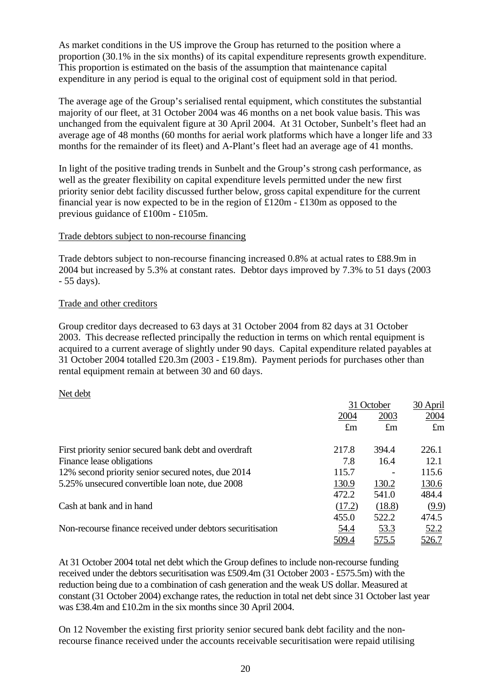As market conditions in the US improve the Group has returned to the position where a proportion (30.1% in the six months) of its capital expenditure represents growth expenditure. This proportion is estimated on the basis of the assumption that maintenance capital expenditure in any period is equal to the original cost of equipment sold in that period.

The average age of the Group's serialised rental equipment, which constitutes the substantial majority of our fleet, at 31 October 2004 was 46 months on a net book value basis. This was unchanged from the equivalent figure at 30 April 2004. At 31 October, Sunbelt's fleet had an average age of 48 months (60 months for aerial work platforms which have a longer life and 33 months for the remainder of its fleet) and A-Plant's fleet had an average age of 41 months.

In light of the positive trading trends in Sunbelt and the Group's strong cash performance, as well as the greater flexibility on capital expenditure levels permitted under the new first priority senior debt facility discussed further below, gross capital expenditure for the current financial year is now expected to be in the region of £120m - £130m as opposed to the previous guidance of £100m - £105m.

## Trade debtors subject to non-recourse financing

Trade debtors subject to non-recourse financing increased 0.8% at actual rates to £88.9m in 2004 but increased by 5.3% at constant rates. Debtor days improved by 7.3% to 51 days (2003 - 55 days).

#### Trade and other creditors

Group creditor days decreased to 63 days at 31 October 2004 from 82 days at 31 October 2003. This decrease reflected principally the reduction in terms on which rental equipment is acquired to a current average of slightly under 90 days. Capital expenditure related payables at 31 October 2004 totalled £20.3m (2003 - £19.8m). Payment periods for purchases other than rental equipment remain at between 30 and 60 days.

#### Net debt

|                                                            |             | 31 October  |             |
|------------------------------------------------------------|-------------|-------------|-------------|
|                                                            | 2004        | 2003        | 2004        |
|                                                            | $\pounds$ m | $\pounds$ m | $\pounds$ m |
| First priority senior secured bank debt and overdraft      | 217.8       | 394.4       | 226.1       |
| Finance lease obligations                                  | 7.8         | 16.4        | 12.1        |
| 12% second priority senior secured notes, due 2014         | 115.7       |             | 115.6       |
| 5.25% unsecured convertible loan note, due 2008            | 130.9       | 130.2       | 130.6       |
|                                                            | 472.2       | 541.0       | 484.4       |
| Cash at bank and in hand                                   | (17.2)      | (18.8)      | (9.9)       |
|                                                            | 455.0       | 522.2       | 474.5       |
| Non-recourse finance received under debtors securitisation | 54.4        | <u>53.3</u> | <u>52.2</u> |
|                                                            | 509.4       | 575.5       | 526.7       |

At 31 October 2004 total net debt which the Group defines to include non-recourse funding received under the debtors securitisation was £509.4m (31 October 2003 - £575.5m) with the reduction being due to a combination of cash generation and the weak US dollar. Measured at constant (31 October 2004) exchange rates, the reduction in total net debt since 31 October last year was £38.4m and £10.2m in the six months since 30 April 2004.

On 12 November the existing first priority senior secured bank debt facility and the nonrecourse finance received under the accounts receivable securitisation were repaid utilising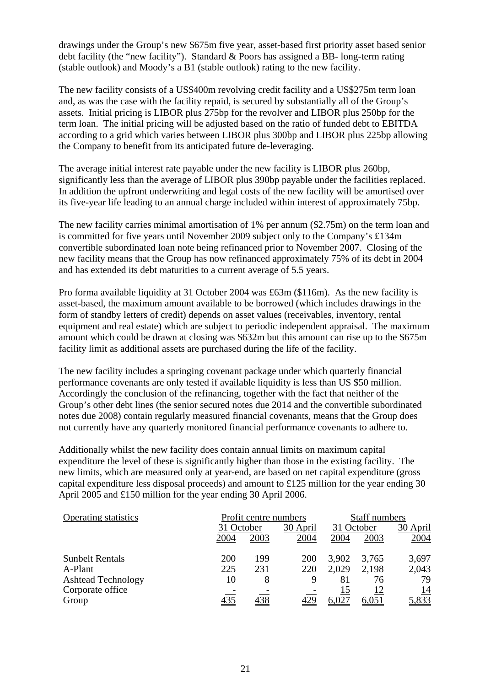drawings under the Group's new \$675m five year, asset-based first priority asset based senior debt facility (the "new facility"). Standard & Poors has assigned a BB- long-term rating (stable outlook) and Moody's a B1 (stable outlook) rating to the new facility.

The new facility consists of a US\$400m revolving credit facility and a US\$275m term loan and, as was the case with the facility repaid, is secured by substantially all of the Group's assets. Initial pricing is LIBOR plus 275bp for the revolver and LIBOR plus 250bp for the term loan. The initial pricing will be adjusted based on the ratio of funded debt to EBITDA according to a grid which varies between LIBOR plus 300bp and LIBOR plus 225bp allowing the Company to benefit from its anticipated future de-leveraging.

The average initial interest rate payable under the new facility is LIBOR plus 260bp, significantly less than the average of LIBOR plus 390bp payable under the facilities replaced. In addition the upfront underwriting and legal costs of the new facility will be amortised over its five-year life leading to an annual charge included within interest of approximately 75bp.

The new facility carries minimal amortisation of 1% per annum (\$2.75m) on the term loan and is committed for five years until November 2009 subject only to the Company's £134m convertible subordinated loan note being refinanced prior to November 2007. Closing of the new facility means that the Group has now refinanced approximately 75% of its debt in 2004 and has extended its debt maturities to a current average of 5.5 years.

Pro forma available liquidity at 31 October 2004 was £63m (\$116m). As the new facility is asset-based, the maximum amount available to be borrowed (which includes drawings in the form of standby letters of credit) depends on asset values (receivables, inventory, rental equipment and real estate) which are subject to periodic independent appraisal. The maximum amount which could be drawn at closing was \$632m but this amount can rise up to the \$675m facility limit as additional assets are purchased during the life of the facility.

The new facility includes a springing covenant package under which quarterly financial performance covenants are only tested if available liquidity is less than US \$50 million. Accordingly the conclusion of the refinancing, together with the fact that neither of the Group's other debt lines (the senior secured notes due 2014 and the convertible subordinated notes due 2008) contain regularly measured financial covenants, means that the Group does not currently have any quarterly monitored financial performance covenants to adhere to.

Additionally whilst the new facility does contain annual limits on maximum capital expenditure the level of these is significantly higher than those in the existing facility. The new limits, which are measured only at year-end, are based on net capital expenditure (gross capital expenditure less disposal proceeds) and amount to £125 million for the year ending 30 April 2005 and £150 million for the year ending 30 April 2006.

| <b>Operating statistics</b> |      | Profit centre numbers |            | Staff numbers |       |            |
|-----------------------------|------|-----------------------|------------|---------------|-------|------------|
|                             |      | 31 October            |            | 31 October    |       | 30 April   |
|                             | 2004 | 2003                  | 2004       | 2004          | 2003  | 2004       |
| <b>Sunbelt Rentals</b>      | 200  | 199                   | <b>200</b> | 3,902         | 3.765 | 3,697      |
| A-Plant                     | 225  | 231                   | 220        | 2,029         | 2,198 | 2,043      |
| <b>Ashtead Technology</b>   | 10   | 8                     | 9          | 81            | 76    | 79         |
| Corporate office            |      |                       |            | 15            | 12    | <u> 14</u> |
| Group                       | 435  |                       | 429        | 6,027         | 6,051 | 5,833      |